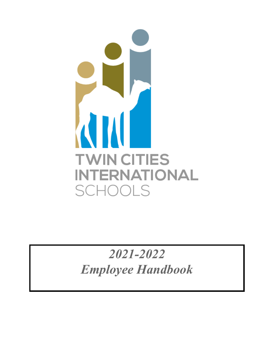

*2021-2022 Employee Handbook*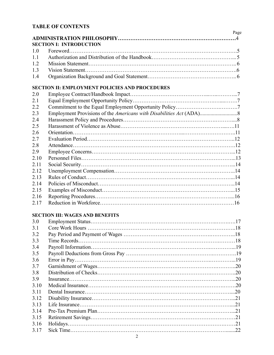## **TABLE OF CONTENTS**

|                |                                                                               | Page |
|----------------|-------------------------------------------------------------------------------|------|
|                | <b>SECTION I: INTRODUCTION</b>                                                |      |
| 1.0            |                                                                               |      |
| 1.1            |                                                                               |      |
| 1.2            |                                                                               |      |
| 1.3            |                                                                               |      |
| 1.4            |                                                                               |      |
|                | <b>SECTION II: EMPLOYMENT POLICIES AND PROCEDURES</b>                         |      |
| 2.0            |                                                                               |      |
| 2.1            |                                                                               |      |
| 2.2            |                                                                               |      |
| 2 <sup>2</sup> | Employment Provisions of the <i>Americans with Dischilities Act</i> $(ADA)$ 8 |      |

| 2.3  |  |
|------|--|
| 2.4  |  |
| 2.5  |  |
| 2.6  |  |
| 2.7  |  |
| 2.8  |  |
| 2.9  |  |
| 2.10 |  |
| 2.11 |  |
| 2.12 |  |
| 2.13 |  |
| 2.14 |  |
| 2.15 |  |
| 2.16 |  |
| 2.17 |  |

### **SECTION III: WAGES AND BENEFITS**

| 3.0   |     |
|-------|-----|
| 3.1   |     |
| 3.2   |     |
| 3.3   |     |
| 3.4   |     |
| 3.5   |     |
| 3.6   |     |
| 37    |     |
| 3.8   |     |
| 39    |     |
| 3.10  |     |
| 3 1 1 |     |
| 3 1 2 |     |
| 3.13  |     |
| 3 14  |     |
| 3.15  |     |
| 3.16  |     |
| 3.17  | .22 |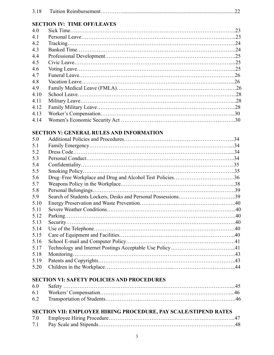| 3.18 |
|------|
|------|

## **SECTION IV: TIME OFF/LEAVES**

| 4.0  | .23 |
|------|-----|
| 4.1  |     |
| 4.2  | -24 |
| 4.3  |     |
| 4.4  |     |
| 4.5  |     |
| 4.6  |     |
| 4.7  |     |
| 4.8  |     |
| 4.9  |     |
| 4.10 |     |
| 4.11 |     |
| 4.12 |     |
| 4.13 |     |
| 4.14 |     |

### **SECTION V: GENERAL RULES AND INFORMATION**

| 5.0  |                                                              | .34 |
|------|--------------------------------------------------------------|-----|
| 5.1  |                                                              |     |
| 5.2  |                                                              |     |
| 5.3  |                                                              |     |
| 5.4  |                                                              |     |
| 5.5  |                                                              |     |
| 5.6  |                                                              |     |
| 5.7  |                                                              |     |
| 5.8  | Personal Belongings.                                         |     |
| 5.9  | Search of Students Lockers, Desks and Personal Possessions39 |     |
| 5.10 |                                                              |     |
| 5.11 |                                                              |     |
| 5.12 |                                                              |     |
| 5.13 |                                                              |     |
| 5.14 |                                                              |     |
| 5.15 |                                                              |     |
| 5.16 |                                                              |     |
| 5.17 |                                                              |     |
| 5.18 | Monitoring.                                                  |     |
| 5.19 |                                                              |     |
| 5.20 |                                                              |     |

## **SECTION VI: SAFETY POLICIES AND PROCEDURES**

| 6.0 |  |
|-----|--|
|     |  |
|     |  |

#### **SECTION VII: EMPLOYEE HIRING PROCEDURE, PAY SCALE/STIPEND RATES** 7.0 Employee Hiring Procedure……………………………………………………………..47

| 1.0 |  |
|-----|--|
|     |  |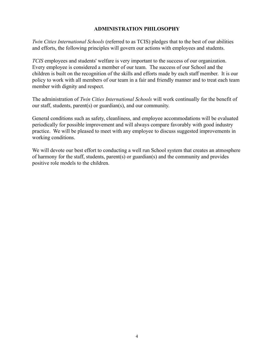#### **ADMINISTRATION PHILOSOPHY**

*Twin Cities International Schools* (referred to as TCIS) pledges that to the best of our abilities and efforts, the following principles will govern our actions with employees and students.

*TCIS* employees and students' welfare is very important to the success of our organization. Every employee is considered a member of our team. The success of our School and the children is built on the recognition of the skills and efforts made by each staff member. It is our policy to work with all members of our team in a fair and friendly manner and to treat each team member with dignity and respect.

The administration of *Twin Cities International Schools* will work continually for the benefit of our staff, students, parent(s) or guardian(s), and our community.

General conditions such as safety, cleanliness, and employee accommodations will be evaluated periodically for possible improvement and will always compare favorably with good industry practice. We will be pleased to meet with any employee to discuss suggested improvements in working conditions.

We will devote our best effort to conducting a well run School system that creates an atmosphere of harmony for the staff, students, parent(s) or guardian(s) and the community and provides positive role models to the children.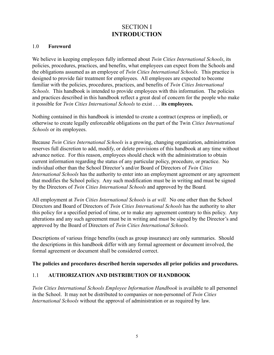## SECTION I **INTRODUCTION**

#### 1.0 **Foreword**

We believe in keeping employees fully informed about *Twin Cities International Schools*, its policies, procedures, practices, and benefits, what employees can expect from the Schools and the obligations assumed as an employee of *Twin Cities International Schools.* This practice is designed to provide fair treatment for employees. All employees are expected to become familiar with the policies, procedures, practices, and benefits of *Twin Cities International Schools.* This handbook is intended to provide employees with this information. The policies and practices described in this handbook reflect a great deal of concern for the people who make it possible for *Twin Cities International Schools* to exist . . . **its employees.**

Nothing contained in this handbook is intended to create a contract (express or implied), or otherwise to create legally enforceable obligations on the part of the Twin *Cities International Schools* or its employees.

Because *Twin Cities International Schools* is a growing, changing organization, administration reserves full discretion to add, modify, or delete provisions of this handbook at any time without advance notice. For this reason, employees should check with the administration to obtain current information regarding the status of any particular policy, procedure, or practice. No individual other than the School Director's and/or Board of Directors of *Twin Cities International Schools* has the authority to enter into an employment agreement or any agreement that modifies the School policy. Any such modification must be in writing and must be signed by the Directors of *Twin Cities International Schools* and approved by the Board*.*

All employment at *Twin Cities International Schools* is *at will.* No one other than the School Directors and Board of Directors of *Twin Cities International Schools* has the authority to alter this policy for a specified period of time, or to make any agreement contrary to this policy. Any alterations and any such agreement must be in writing and must be signed by the Director's and approved by the Board of Directors of *Twin Cities International Schools.*

Descriptions of various fringe benefits (such as group insurance) are only summaries. Should the descriptions in this handbook differ with any formal agreement or document involved, the formal agreement or document shall be considered correct.

#### **The policies and procedures described herein supersedes all prior policies and procedures.**

#### 1.1 **AUTHORIZATION AND DISTRIBUTION OF HANDBOOK**

*Twin Cities International Schools Employee Information Handbook* is available to all personnel in the School. It may not be distributed to companies or non-personnel of *Twin Cities International Schools* without the approval of administration or as required by law.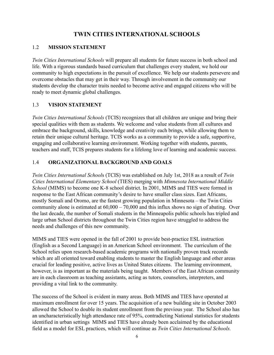## **TWIN CITIES INTERNATIONAL SCHOOLS**

### 1.2 **MISSION STATEMENT**

*Twin Cities International Schools* will prepare all students for future success in both school and life. With a rigorous standards based curriculum that challenges every student, we hold our community to high expectations in the pursuit of excellence. We help our students persevere and overcome obstacles that may get in their way. Through involvement in the community our students develop the character traits needed to become active and engaged citizens who will be ready to meet dynamic global challenges.

### 1.3 **VISION STATEMENT**

*Twin Cities International Schools* (TCIS) recognizes that all children are unique and bring their special qualities with them as students. We welcome and value students from all cultures and embrace the background, skills, knowledge and creativity each brings, while allowing them to retain their unique cultural heritage. TCIS works as a community to provide a safe, supportive, engaging and collaborative learning environment. Working together with students, parents, teachers and staff, TCIS prepares students for a lifelong love of learning and academic success.

### 1.4 **ORGANIZATIONAL BACKGROUND AND GOALS**

*Twin Cities International School*s (TCIS) was established on July 1st, 2018 as a result of *Twin Cities International Elementary School* (TIES) merging with *Minnesota International Middle School* (MIMS) to become one K-8 school district. In 2001, MIMS and TIES were formed in response to the East African community's desire to have smaller class sizes. East Africans, mostly Somali and Oromo, are the fastest growing population in Minnesota – the Twin Cities community alone is estimated at  $60,000 - 70,000$  and this influx shows no sign of abating. Over the last decade, the number of Somali students in the Minneapolis public schools has tripled and large urban School districts throughout the Twin Cities region have struggled to address the needs and challenges of this new community.

MIMS and TIES were opened in the fall of 2001 to provide best-practice ESL instruction (English as a Second Language) in an American School environment. The curriculum of the School relies upon research-based academic programs with nationally proven track records which are all oriented toward enabling students to master the English language and other areas crucial for leading positive, active lives as United States citizens. The learning environment, however, is as important as the materials being taught. Members of the East African community are in each classroom as teaching assistants, acting as tutors, counselors, interpreters, and providing a vital link to the community.

The success of the School is evident in many areas. Both MIMS and TIES have operated at maximum enrollment for over 15 years. The acquisition of a new building site in October 2003 allowed the School to double its student enrollment from the previous year. The School also has an uncharacteristically high attendance rate of 95%, contradicting National statistics for students identified in urban settings MIMS and TIES have already been acclaimed by the educational field as a model for ESL practices, which will continue as *Twin Cities International Schools.*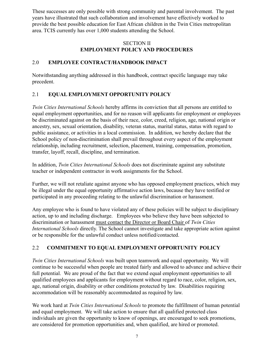These successes are only possible with strong community and parental involvement. The past years have illustrated that such collaboration and involvement have effectively worked to provide the best possible education for East African children in the Twin Cities metropolitan area. TCIS currently has over 1,000 students attending the School.

#### SECTION II **EMPLOYMENT POLICY AND PROCEDURES**

### 2.0 **EMPLOYEE CONTRACT/HANDBOOK IMPACT**

Notwithstanding anything addressed in this handbook, contract specific language may take precedent.

### 2.1 **EQUAL EMPLOYMENT OPPORTUNITY POLICY**

*Twin Cities International Schools* hereby affirms its conviction that all persons are entitled to equal employment opportunities, and for no reason will applicants for employment or employees be discriminated against on the basis of their race, color, creed, religion, age, national origin or ancestry, sex, sexual orientation, disability, veteran status, marital status, status with regard to public assistance, or activities in a local commission. In addition, we hereby declare that the School policy of non-discrimination shall prevail throughout every aspect of the employment relationship, including recruitment, selection, placement, training, compensation, promotion, transfer, layoff, recall, discipline, and termination.

In addition, *Twin Cities International Schools* does not discriminate against any substitute teacher or independent contractor in work assignments for the School.

Further, we will not retaliate against anyone who has opposed employment practices, which may be illegal under the equal opportunity affirmative action laws, because they have testified or participated in any proceeding relating to the unlawful discrimination or harassment.

Any employee who is found to have violated any of these policies will be subject to disciplinary action, up to and including discharge. Employees who believe they have been subjected to discrimination or harassment must contact the Director or Board Chair of *Twin Cities International Schools* directly. The School cannot investigate and take appropriate action against or be responsible for the unlawful conduct unless notified/contacted.

## 2.2 **COMMITMENT TO EQUAL EMPLOYMENT OPPORTUNITY POLICY**

*Twin Cities International Schools* was built upon teamwork and equal opportunity. We will continue to be successful when people are treated fairly and allowed to advance and achieve their full potential. We are proud of the fact that we extend equal employment opportunities to all qualified employees and applicants for employment without regard to race, color, religion, sex, age, national origin, disability or other conditions protected by law. Disabilities requiring accommodation will be reasonably accommodated as required by law.

We work hard at *Twin Cities International Schools* to promote the fulfillment of human potential and equal employment. We will take action to ensure that all qualified protected class individuals are given the opportunity to know of openings, are encouraged to seek promotions, are considered for promotion opportunities and, when qualified, are hired or promoted.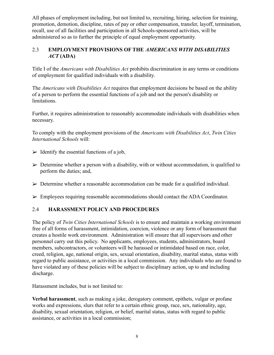All phases of employment including, but not limited to, recruiting, hiring, selection for training, promotion, demotion, discipline, rates of pay or other compensation, transfer, layoff, termination, recall, use of all facilities and participation in all Schools-sponsored activities, will be administered so as to further the principle of equal employment opportunity.

### 2.3 **EMPLOYMENT PROVISIONS OF THE** *AMERICANS WITH DISABILITIES ACT* **(ADA)**

Title I of the *Americans with Disabilities Act* prohibits discrimination in any terms or conditions of employment for qualified individuals with a disability.

The *Americans with Disabilities Act* requires that employment decisions be based on the ability of a person to perform the essential functions of a job and not the person's disability or limitations.

Further, it requires administration to reasonably accommodate individuals with disabilities when necessary.

To comply with the employment provisions of the *Americans with Disabilities Act*, *Twin Cities International Schools* will:

- $\triangleright$  Identify the essential functions of a job,
- $\triangleright$  Determine whether a person with a disability, with or without accommodation, is qualified to perform the duties; and,
- $\triangleright$  Determine whether a reasonable accommodation can be made for a qualified individual.
- $\triangleright$  Employees requiring reasonable accommodations should contact the ADA Coordinator.

## 2.4 **HARASSMENT POLICY AND PROCEDURES**

The policy of *Twin Cities International Schools* is to ensure and maintain a working environment free of all forms of harassment, intimidation, coercion, violence or any form of harassment that creates a hostile work environment. Administration will ensure that all supervisors and other personnel carry out this policy. No applicants, employees, students, administrators, board members, subcontractors, or volunteers will be harassed or intimidated based on race, color, creed, religion, age, national origin, sex, sexual orientation, disability, marital status, status with regard to public assistance, or activities in a local commission. Any individuals who are found to have violated any of these policies will be subject to disciplinary action, up to and including discharge.

Harassment includes, but is not limited to:

**Verbal harassment**, such as making a joke, derogatory comment, epithets, vulgar or profane works and expressions, slurs that refer to a certain ethnic group, race, sex, nationality, age, disability, sexual orientation, religion, or belief, marital status, status with regard to public assistance, or activities in a local commission;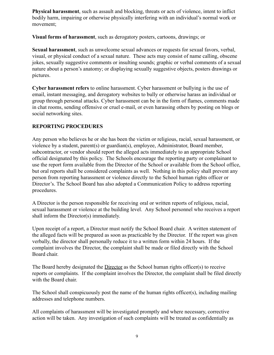**Physical harassment**, such as assault and blocking, threats or acts of violence, intent to inflict bodily harm, impairing or otherwise physically interfering with an individual's normal work or movement;

**Visual forms of harassment**, such as derogatory posters, cartoons, drawings; or

**Sexual harassment**, such as unwelcome sexual advances or requests for sexual favors, verbal, visual, or physical conduct of a sexual nature. These acts may consist of name calling, obscene jokes, sexually suggestive comments or insulting sounds; graphic or verbal comments of a sexual nature about a person's anatomy; or displaying sexually suggestive objects, posters drawings or pictures.

**Cyber harassment refers** to online harassment. Cyber harassment or bullying is the use of email, instant messaging, and derogatory websites to bully or otherwise harass an individual or group through personal attacks. Cyber harassment can be in the form of flames, comments made in chat rooms, sending offensive or cruel e-mail, or even harassing others by posting on blogs or social networking sites.

#### **REPORTING PROCEDURES**

Any person who believes he or she has been the victim or religious, racial, sexual harassment, or violence by a student, parent(s) or guardian(s), employee, Administrator, Board member, subcontractor, or vendor should report the alleged acts immediately to an appropriate School official designated by this policy. The Schools encourage the reporting party or complainant to use the report form available from the Director of the School or available from the School office, but oral reports shall be considered complaints as well. Nothing in this policy shall prevent any person from reporting harassment or violence directly to the School human rights officer or Director's. The School Board has also adopted a Communication Policy to address reporting procedures.

A Director is the person responsible for receiving oral or written reports of religious, racial, sexual harassment or violence at the building level. Any School personnel who receives a report shall inform the Director(s) immediately.

Upon receipt of a report, a Director must notify the School Board chair. A written statement of the alleged facts will be prepared as soon as practicable by the Director. If the report was given verbally, the director shall personally reduce it to a written form within 24 hours. If the complaint involves the Director, the complaint shall be made or filed directly with the School Board chair.

The Board hereby designated the Director as the School human rights officer(s) to receive reports or complaints. If the complaint involves the Director, the complaint shall be filed directly with the Board chair.

The School shall conspicuously post the name of the human rights officer(s), including mailing addresses and telephone numbers.

All complaints of harassment will be investigated promptly and where necessary, corrective action will be taken. Any investigation of such complaints will be treated as confidentially as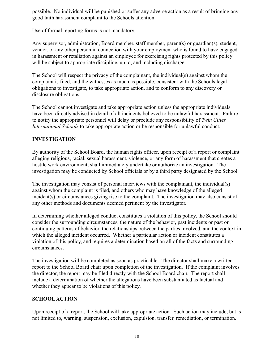possible. No individual will be punished or suffer any adverse action as a result of bringing any good faith harassment complaint to the Schools attention.

Use of formal reporting forms is not mandatory.

Any supervisor, administration, Board member, staff member, parent(s) or guardian(s), student, vendor, or any other person in connection with your employment who is found to have engaged in harassment or retaliation against an employee for exercising rights protected by this policy will be subject to appropriate discipline, up to, and including discharge.

The School will respect the privacy of the complainant, the individual(s) against whom the complaint is filed, and the witnesses as much as possible, consistent with the Schools legal obligations to investigate, to take appropriate action, and to conform to any discovery or disclosure obligations.

The School cannot investigate and take appropriate action unless the appropriate individuals have been directly advised in detail of all incidents believed to be unlawful harassment. Failure to notify the appropriate personnel will delay or preclude any responsibility of *Twin Cities International Schools* to take appropriate action or be responsible for unlawful conduct.

### **INVESTIGATION**

By authority of the School Board, the human rights officer, upon receipt of a report or complaint alleging religious, racial, sexual harassment, violence, or any form of harassment that creates a hostile work environment, shall immediately undertake or authorize an investigation. The investigation may be conducted by School officials or by a third party designated by the School.

The investigation may consist of personal interviews with the complainant, the individual(s) against whom the complaint is filed, and others who may have knowledge of the alleged incident(s) or circumstances giving rise to the complaint. The investigation may also consist of any other methods and documents deemed pertinent by the investigator.

In determining whether alleged conduct constitutes a violation of this policy, the School should consider the surrounding circumstances, the nature of the behavior, past incidents or past or continuing patterns of behavior, the relationships between the parties involved, and the context in which the alleged incident occurred. Whether a particular action or incident constitutes a violation of this policy, and requires a determination based on all of the facts and surrounding circumstances.

The investigation will be completed as soon as practicable. The director shall make a written report to the School Board chair upon completion of the investigation. If the complaint involves the director, the report may be filed directly with the School Board chair. The report shall include a determination of whether the allegations have been substantiated as factual and whether they appear to be violations of this policy.

### **SCHOOLACTION**

Upon receipt of a report, the School will take appropriate action. Such action may include, but is not limited to, warning, suspension, exclusion, expulsion, transfer, remediation, or termination.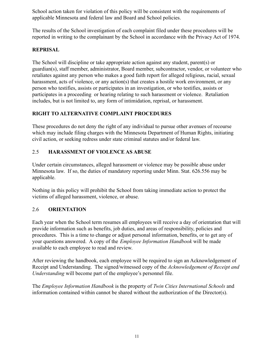School action taken for violation of this policy will be consistent with the requirements of applicable Minnesota and federal law and Board and School policies.

The results of the School investigation of each complaint filed under these procedures will be reported in writing to the complainant by the School in accordance with the Privacy Act of 1974.

### **REPRISAL**

The School will discipline or take appropriate action against any student, parent(s) or guardian(s), staff member, administrator, Board member, subcontractor, vendor, or volunteer who retaliates against any person who makes a good faith report for alleged religious, racial, sexual harassment, acts of violence, or any action(s) that creates a hostile work environment, or any person who testifies, assists or participates in an investigation, or who testifies, assists or participates in a proceeding or hearing relating to such harassment or violence. Retaliation includes, but is not limited to, any form of intimidation, reprisal, or harassment.

### **RIGHT TO ALTERNATIVE COMPLAINT PROCEDURES**

These procedures do not deny the right of any individual to pursue other avenues of recourse which may include filing charges with the Minnesota Department of Human Rights, initiating civil action, or seeking redress under state criminal statutes and/or federal law.

### 2.5 **HARASSMENT OF VIOLENCE AS ABUSE**

Under certain circumstances, alleged harassment or violence may be possible abuse under Minnesota law. If so, the duties of mandatory reporting under Minn. Stat. 626.556 may be applicable.

Nothing in this policy will prohibit the School from taking immediate action to protect the victims of alleged harassment, violence, or abuse.

## 2.6 **ORIENTATION**

Each year when the School term resumes all employees will receive a day of orientation that will provide information such as benefits, job duties, and areas of responsibility, policies and procedures. This is a time to change or adjust personal information, benefits, or to get any of your questions answered. A copy of the *Employee Information Handbook* will be made available to each employee to read and review.

After reviewing the handbook, each employee will be required to sign an Acknowledgement of Receipt and Understanding. The signed/witnessed copy of the *Acknowledgement of Receipt and Understanding* will become part of the employee's personnel file.

The *Employee Information Handbook* is the property of *Twin Cities International Schools* and information contained within cannot be shared without the authorization of the Director(s).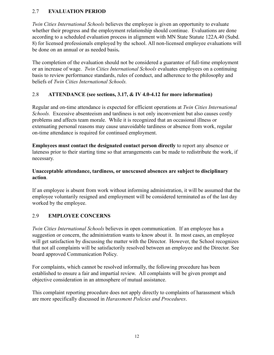### 2.7 **EVALUATION PERIOD**

*Twin Cities International Schools* believes the employee is given an opportunity to evaluate whether their progress and the employment relationship should continue. Evaluations are done according to a scheduled evaluation process in alignment with MN State Statute 122A.40 (Subd. 8) for licensed professionals employed by the school. All non-licensed employee evaluations will be done on an annual or as needed basis**.**

The completion of the evaluation should not be considered a guarantee of full-time employment or an increase of wage. *Twin Cities International Schools* evaluates employees on a continuing basis to review performance standards, rules of conduct, and adherence to the philosophy and beliefs of *Twin Cities International Schools.*

### 2.8 **ATTENDANCE (see sections, 3.17, & IV 4.0-4.12 for more information)**

Regular and on-time attendance is expected for efficient operations at *Twin Cities International Schools.* Excessive absenteeism and tardiness is not only inconvenient but also causes costly problems and affects team morale. While it is recognized that an occasional illness or extenuating personal reasons may cause unavoidable tardiness or absence from work, regular on-time attendance is required for continued employment.

**Employees must contact the designated contact person directly** to report any absence or lateness prior to their starting time so that arrangements can be made to redistribute the work, if necessary.

#### **Unacceptable attendance, tardiness, or unexcused absences are subject to disciplinary action**.

If an employee is absent from work without informing administration, it will be assumed that the employee voluntarily resigned and employment will be considered terminated as of the last day worked by the employee.

### 2.9 **EMPLOYEE CONCERNS**

*Twin Cities International Schools* believes in open communication. If an employee has a suggestion or concern, the administration wants to know about it. In most cases, an employee will get satisfaction by discussing the matter with the Director. However, the School recognizes that not all complaints will be satisfactorily resolved between an employee and the Director. See board approved Communication Policy.

For complaints, which cannot be resolved informally, the following procedure has been established to ensure a fair and impartial review. All complaints will be given prompt and objective consideration in an atmosphere of mutual assistance.

This complaint reporting procedure does not apply directly to complaints of harassment which are more specifically discussed in *Harassment Policies and Procedures*.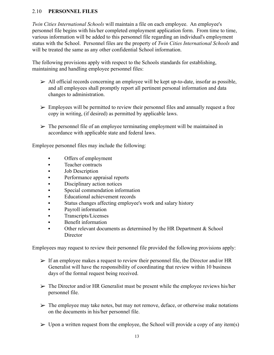#### 2.10 **PERSONNEL FILES**

*Twin Cities International Schools* will maintain a file on each employee. An employee's personnel file begins with his/her completed employment application form. From time to time, various information will be added to this personnel file regarding an individual's employment status with the School. Personnel files are the property of *Twin Cities International Schools* and will be treated the same as any other confidential School information.

The following provisions apply with respect to the Schools standards for establishing, maintaining and handling employee personnel files:

- $\triangleright$  All official records concerning an employee will be kept up-to-date, insofar as possible, and all employees shall promptly report all pertinent personal information and data changes to administration.
- $\triangleright$  Employees will be permitted to review their personnel files and annually request a free copy in writing, (if desired) as permitted by applicable laws.
- $\triangleright$  The personnel file of an employee terminating employment will be maintained in accordance with applicable state and federal laws.

Employee personnel files may include the following:

- **•** Offers of employment
- Teacher contracts
- Job Description
- **•** Performance appraisal reports
- **•** Disciplinary action notices
- Special commendation information
- Educational achievement records
- Status changes affecting employee's work and salary history
- Payroll information
- **Transcripts/Licenses**
- Benefit information
- Other relevant documents as determined by the HR Department & School **Director**

Employees may request to review their personnel file provided the following provisions apply:

- $\triangleright$  If an employee makes a request to review their personnel file, the Director and/or HR Generalist will have the responsibility of coordinating that review within 10 business days of the formal request being received.
- $\triangleright$  The Director and/or HR Generalist must be present while the employee reviews his/her personnel file.
- $\triangleright$  The employee may take notes, but may not remove, deface, or otherwise make notations on the documents in his/her personnel file.
- $\triangleright$  Upon a written request from the employee, the School will provide a copy of any item(s)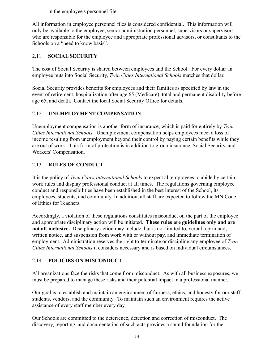in the employee's personnel file.

All information in employee personnel files is considered confidential. This information will only be available to the employee, senior administration personnel, supervisors or supervisors who are responsible for the employee and appropriate professional advisors, or consultants to the Schools on a "need to know basis".

## 2.11 **SOCIAL SECURITY**

The cost of Social Security is shared between employees and the School. For every dollar an employee puts into Social Security, *Twin Cities International Schools* matches that dollar.

Social Security provides benefits for employees and their families as specified by law in the event of retirement, hospitalization after age 65 (Medicare), total and permanent disability before age 65, and death. Contact the local Social Security Office for details.

## 2.12 **UNEMPLOYMENT COMPENSATION**

Unemployment compensation is another form of insurance, which is paid for entirely by *Twin Cities International Schools.* Unemployment compensation helps employees meet a loss of income resulting from unemployment beyond their control by paying certain benefits while they are out of work. This form of protection is in addition to group insurance, Social Security, and Workers' Compensation.

## 2.13 **RULES OF CONDUCT**

It is the policy of *Twin Cities International Schools* to expect all employees to abide by certain work rules and display professional conduct at all times. The regulations governing employee conduct and responsibilities have been established in the best interest of the School, its employees, students, and community. In addition, all staff are expected to follow the MN Code of Ethics for Teachers.

Accordingly, a violation of these regulations constitutes misconduct on the part of the employee and appropriate disciplinary action will be initiated. **These rules are guidelines only and are not all-inclusive.** Disciplinary action may include, but is not limited to, verbal reprimand, written notice, and suspension from work with or without pay, and immediate termination of employment. Administration reserves the right to terminate or discipline any employee of *Twin Cities International Schools* it considers necessary and is based on individual circumstances.

## 2.14 **POLICIES ON MISCONDUCT**

All organizations face the risks that come from misconduct. As with all business exposures, we must be prepared to manage these risks and their potential impact in a professional manner.

Our goal is to establish and maintain an environment of fairness, ethics, and honesty for our staff, students, vendors, and the community. To maintain such an environment requires the active assistance of every staff member every day.

Our Schools are committed to the deterrence, detection and correction of misconduct. The discovery, reporting, and documentation of such acts provides a sound foundation for the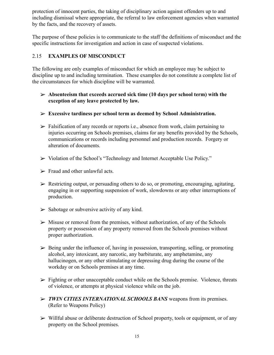protection of innocent parties, the taking of disciplinary action against offenders up to and including dismissal where appropriate, the referral to law enforcement agencies when warranted by the facts, and the recovery of assets.

The purpose of these policies is to communicate to the staff the definitions of misconduct and the specific instructions for investigation and action in case of suspected violations.

### 2.15 **EXAMPLES OF MISCONDUCT**

The following are only examples of misconduct for which an employee may be subject to discipline up to and including termination. These examples do not constitute a complete list of the circumstances for which discipline will be warranted.

- ➢ **Absenteeism that exceeds accrued sick time (10 days per school term) with the exception of any leave protected by law.**
- ➢ **Excessive tardiness per school term as deemed by School Administration.**
- $\triangleright$  Falsification of any records or reports i.e., absence from work, claim pertaining to injuries occurring on Schools premises, claims for any benefits provided by the Schools, communications or records including personnel and production records. Forgery or alteration of documents.
- ➢ Violation of the School's "Technology and Internet Acceptable Use Policy."
- $\triangleright$  Fraud and other unlawful acts.
- $\triangleright$  Restricting output, or persuading others to do so, or promoting, encouraging, agitating, engaging in or supporting suspension of work, slowdowns or any other interruptions of production.
- $\triangleright$  Sabotage or subversive activity of any kind.
- $\triangleright$  Misuse or removal from the premises, without authorization, of any of the Schools property or possession of any property removed from the Schools premises without proper authorization.
- $\triangleright$  Being under the influence of, having in possession, transporting, selling, or promoting alcohol, any intoxicant, any narcotic, any barbiturate, any amphetamine, any hallucinogen, or any other stimulating or depressing drug during the course of the workday or on Schools premises at any time.
- $\triangleright$  Fighting or other unacceptable conduct while on the Schools premise. Violence, threats of violence, or attempts at physical violence while on the job.
- ➢ *TWIN CITIES INTERNATIONAL SCHOOLS BANS* weapons from its premises. (Refer to Weapons Policy)
- $\triangleright$  Willful abuse or deliberate destruction of School property, tools or equipment, or of any property on the School premises.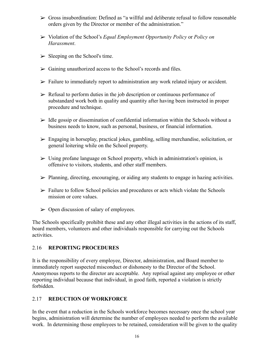- $\triangleright$  Gross insubordination: Defined as "a willful and deliberate refusal to follow reasonable orders given by the Director or member of the administration."
- ➢ Violation of the School's *Equal Employment Opportunity Policy* or *Policy on Harassment*.
- $\triangleright$  Sleeping on the School's time.
- $\triangleright$  Gaining unauthorized access to the School's records and files.
- $\triangleright$  Failure to immediately report to administration any work related injury or accident.
- $\triangleright$  Refusal to perform duties in the job description or continuous performance of substandard work both in quality and quantity after having been instructed in proper procedure and technique.
- $\triangleright$  Idle gossip or dissemination of confidential information within the Schools without a business needs to know, such as personal, business, or financial information.
- $\triangleright$  Engaging in horseplay, practical jokes, gambling, selling merchandise, solicitation, or general loitering while on the School property.
- $\triangleright$  Using profane language on School property, which in administration's opinion, is offensive to visitors, students, and other staff members.
- $\triangleright$  Planning, directing, encouraging, or aiding any students to engage in hazing activities.
- $\triangleright$  Failure to follow School policies and procedures or acts which violate the Schools mission or core values.
- $\triangleright$  Open discussion of salary of employees.

The Schools specifically prohibit these and any other illegal activities in the actions of its staff, board members, volunteers and other individuals responsible for carrying out the Schools activities.

#### 2.16 **REPORTING PROCEDURES**

It is the responsibility of every employee, Director, administration, and Board member to immediately report suspected misconduct or dishonesty to the Director of the School. Anonymous reports to the director are acceptable. Any reprisal against any employee or other reporting individual because that individual, in good faith, reported a violation is strictly forbidden.

### 2.17 **REDUCTION OF WORKFORCE**

In the event that a reduction in the Schools workforce becomes necessary once the school year begins, administration will determine the number of employees needed to perform the available work. In determining those employees to be retained, consideration will be given to the quality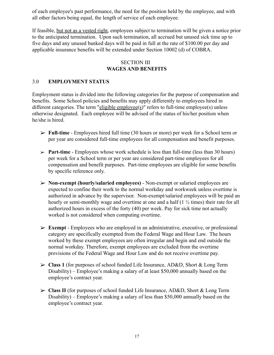of each employee's past performance, the need for the position held by the employee, and with all other factors being equal, the length of service of each employee.

If feasible, but not as a vested right, employees subject to termination will be given a notice prior to the anticipated termination. Upon such termination, all accrued but unused sick time up to five days and any unused banked days will be paid in full at the rate of \$100.00 per day and applicable insurance benefits will be extended under Section 10002 (d) of COBRA.

#### SECTION III **WAGES AND BENEFITS**

### 3.0 **EMPLOYMENT STATUS**

Employment status is divided into the following categories for the purpose of compensation and benefits. Some School policies and benefits may apply differently to employees hired in different categories. The term "eligible employee(s)" refers to full-time employee(s) unless otherwise designated. Each employee will be advised of the status of his/her position when he/she is hired.

- ➢ **Full-time** Employees hired full time (30 hours or more) per week for a School term or per year are considered full-time employees for all compensation and benefit purposes.
- ➢ **Part-time** Employees whose work schedule is less than full-time (less than 30 hours) per week for a School term or per year are considered part-time employees for all compensation and benefit purposes. Part-time employees are eligible for some benefits by specific reference only.
- ➢ **Non-exempt (hourly/salaried employees)** Non-exempt or salaried employees are expected to confine their work to the normal workday and workweek unless overtime is authorized in advance by the supervisor. Non-exempt/salaried employees will be paid an hourly or semi-monthly wage and overtime at one and a half (1  $\frac{1}{2}$  times) their rate for all authorized hours in excess of the forty (40) per week. Pay for sick time not actually worked is not considered when computing overtime.
- ➢ **Exempt** Employees who are employed in an administrative, executive, or professional category are specifically exempted from the Federal Wage and Hour Law. The hours worked by these exempt employees are often irregular and begin and end outside the normal workday. Therefore, exempt employees are excluded from the overtime provisions of the Federal Wage and Hour Law and do not receive overtime pay.
- ➢ **Class 1** (for purposes of school funded Life Insurance, AD&D, Short & Long Term Disability) – Employee's making a salary of at least \$50,000 annually based on the employee's contract year.
- ➢ **Class II** (for purposes of school funded Life Insurance, AD&D, Short & Long Term Disability) – Employee's making a salary of less than \$50,000 annually based on the employee's contract year.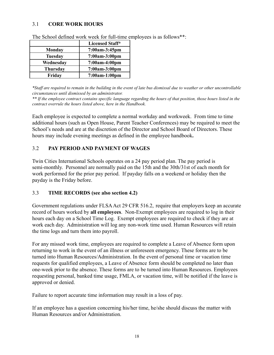#### 3.1 **CORE WORK HOURS**

|                 | <b>Licensed Staff*</b> |
|-----------------|------------------------|
| <b>Monday</b>   | 7:00am-3:45pm          |
| <b>Tuesday</b>  | 7:00am-3:00pm          |
| Wednesday       | 7:00am-4:00pm          |
| <b>Thursday</b> | 7:00am-3:00pm          |
| Friday          | 7:00am-1:00pm          |

The School defined work week for full-time employees is as follows\*\*:

\*Staff are required to remain in the building in the event of late bus dismissal due to weather or other uncontrollable *circumstances until dismissed by an administrator.*

\*\* If the employee contract contains specific language regarding the hours of that position, those hours listed in the *contract overrule the hours listed above, here in the Handbook.*

Each employee is expected to complete a normal workday and workweek. From time to time additional hours (such as Open House, Parent Teacher Conferences) may be required to meet the School's needs and are at the discretion of the Director and School Board of Directors. These hours may include evening meetings as defined in the employee handbook**.**

### 3.2 **PAY PERIOD AND PAYMENT OF WAGES**

Twin Cities International Schools operates on a 24 pay period plan. The pay period is semi-monthly. Personnel are normally paid on the 15th and the 30th/31st of each month for work performed for the prior pay period. If payday falls on a weekend or holiday then the payday is the Friday before.

#### 3.3 **TIME RECORDS (see also section 4.2)**

Government regulations under FLSA Act 29 CFR 516.2, require that employers keep an accurate record of hours worked by **all employees**. Non-Exempt employees are required to log in their hours each day on a School Time Log. Exempt employees are required to check if they are at work each day. Administration will log any non-work time used. Human Resources will retain the time logs and turn them into payroll.

For any missed work time, employees are required to complete a Leave of Absence form upon returning to work in the event of an illness or unforeseen emergency. These forms are to be turned into Human Resources/Administration. In the event of personal time or vacation time requests for qualified employees, a Leave of Absence form should be completed no later than one-week prior to the absence. These forms are to be turned into Human Resources. Employees requesting personal, banked time usage, FMLA, or vacation time, will be notified if the leave is approved or denied.

Failure to report accurate time information may result in a loss of pay.

If an employee has a question concerning his/her time, he/she should discuss the matter with Human Resources and/or Administration.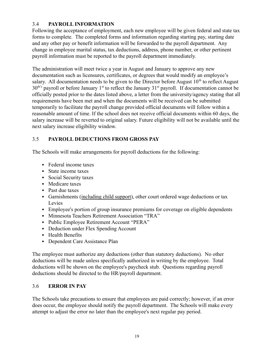### 3.4 **PAYROLL INFORMATION**

Following the acceptance of employment, each new employee will be given federal and state tax forms to complete. The completed forms and information regarding starting pay, starting date and any other pay or benefit information will be forwarded to the payroll department. Any change in employee marital status, tax deductions, address, phone number, or other pertinent payroll information must be reported to the payroll department immediately.

The administration will meet twice a year in August and January to approve any new documentation such as licensures, certificates, or degrees that would modify an employee's salary. All documentation needs to be given to the Director before August  $10<sup>th</sup>$  to reflect August  $30<sup>th's</sup>$  payroll or before January 1<sup>st</sup> to reflect the January 31<sup>st</sup> payroll. If documentation cannot be officially posted prior to the dates listed above, a letter from the university/agency stating that all requirements have been met and when the documents will be received can be submitted temporarily to facilitate the payroll change provided official documents will follow within a reasonable amount of time. If the school does not receive official documents within 60 days, the salary increase will be reverted to original salary. Future eligibility will not be available until the next salary increase eligibility window.

### 3.5 **PAYROLL DEDUCTIONS FROM GROSS PAY**

The Schools will make arrangements for payroll deductions for the following:

- Federal income taxes
- State income taxes
- Social Security taxes
- Medicare taxes
- Past due taxes
- Garnishments (including child support), other court ordered wage deductions or tax Levies
- **Employee's portion of group insurance premiums for coverage on eligible dependents**
- **Minnesota Teachers Retirement Association "TRA"**
- Public Employee Retirement Account "PERA"
- **Deduction under Flex Spending Account**
- **·** Health Benefits
- **Dependent Care Assistance Plan**

The employee must authorize any deductions (other than statutory deductions). No other deductions will be made unless specifically authorized in writing by the employee. Total deductions will be shown on the employee's paycheck stub. Questions regarding payroll deductions should be directed to the HR/payroll department.

### 3.6 **ERROR IN PAY**

The Schools take precautions to ensure that employees are paid correctly; however, if an error does occur, the employee should notify the payroll department. The Schools will make every attempt to adjust the error no later than the employee's next regular pay period.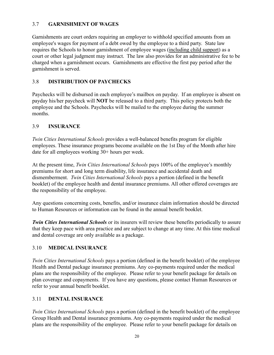### 3.7 **GARNISHMENT OF WAGES**

Garnishments are court orders requiring an employer to withhold specified amounts from an employee's wages for payment of a debt owed by the employee to a third party. State law requires the Schools to honor garnishment of employee wages (including child support) as a court or other legal judgment may instruct. The law also provides for an administrative fee to be charged when a garnishment occurs. Garnishments are effective the first pay period after the garnishment is served.

### 3.8 **DISTRIBUTION OF PAYCHECKS**

Paychecks will be disbursed in each employee's mailbox on payday. If an employee is absent on payday his/her paycheck will **NOT** be released to a third party. This policy protects both the employee and the Schools. Paychecks will be mailed to the employee during the summer months.

#### 3.9 **INSURANCE**

*Twin Cities International Schools* provides a well-balanced benefits program for eligible employees. These insurance programs become available on the 1st Day of the Month after hire date for all employees working 30+ hours per week.

At the present time, *Twin Cities International Schools* pays 100% of the employee's monthly premiums for short and long term disability, life insurance and accidental death and dismemberment. *Twin Cities International Schools* pays a portion (defined in the benefit booklet) of the employee health and dental insurance premiums. All other offered coverages are the responsibility of the employee.

Any questions concerning costs, benefits, and/or insurance claim information should be directed to Human Resources or information can be found in the annual benefit booklet.

*Twin Cities International Schools* or its insurers will review these benefits periodically to assure that they keep pace with area practice and are subject to change at any time. At this time medical and dental coverage are only available as a package.

#### 3.10 **MEDICAL INSURANCE**

*Twin Cities International Schools* pays a portion (defined in the benefit booklet) of the employee Health and Dental package insurance premiums. Any co-payments required under the medical plans are the responsibility of the employee. Please refer to your benefit package for details on plan coverage and copayments. If you have any questions, please contact Human Resources or refer to your annual benefit booklet.

#### 3.11 **DENTAL INSURANCE**

*Twin Cities International Schools* pays a portion (defined in the benefit booklet) of the employee Group Health and Dental insurance premiums. Any co-payments required under the medical plans are the responsibility of the employee. Please refer to your benefit package for details on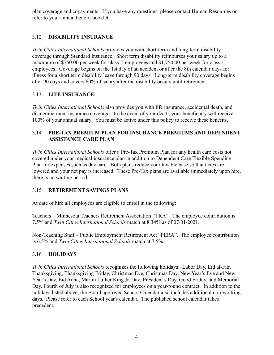plan coverage and copayments. If you have any questions, please contact Human Resources or refer to your annual benefit booklet.

### 3.12 **DISABILITY INSURANCE**

*Twin Cities International Schools* provides you with short-term and long-term disability coverage through Standard Insurance. Short term disability reimburses your salary up to a maximum of \$750.00 per week for class II employees and \$1,750.00 per week for class 1 employees. Coverage begins on the 1st day of an accident or after the 8th calendar days for illness for a short term disability leave through 90 days. Long-term disability coverage begins after 90 days and covers 60% of salary after the disability occurs until retirement.

### 3.13 **LIFE INSURANCE**

*Twin Cities International Schools* also provides you with life insurance, accidental death, and dismemberment insurance coverage. In the event of your death, your beneficiary will receive 100% of your annual salary. You must be active under this policy to receive these benefits.

### 3.14 **PRE-TAX PREMIUM PLAN FOR INSURANCE PREMIUMS AND DEPENDENT ASSISTANCE CARE PLAN**

*Twin Cities International Schools* offer a Pre-Tax Premium Plan for any health care costs not covered under your medical insurance plan in addition to Dependent Care Flexible Spending Plan for expenses such as day care. Both plans reduce your taxable base so that taxes are lowered and your net pay is increased. These Pre-Tax plans are available immediately upon hire, there is no waiting period.

### 3.15 **RETIREMENT SAVINGS PLANS**

At date of hire all employees are eligible to enroll in the following:

Teachers – Minnesota Teachers Retirement Association "TRA". The employee contribution is 7.5% and *Twin Cities International Schools* match at 8.34% as of 07/01/2021.

Non-Teaching Staff – Public Employment Retirement Act "PERA". The employee contribution is 6.5% and *Twin Cities International Schools* match at 7.5%.

### 3.16 **HOLIDAYS**

*Twin Cities International Schools* recognizes the following holidays: Labor Day, Eid al-Fitr, Thanksgiving, Thanksgiving Friday, Christmas Eve, Christmas Day, New Year's Eve and New Year's Day, Eid Adha, Martin Luther King Jr. Day, President's Day, Good Friday, and Memorial Day. Fourth of July is also recognized for employees on a year-round contract. In addition to the holidays listed above, the Board approved School Calendar also includes additional non-working days. Please refer to each School year's calendar. The published school calendar takes precedent.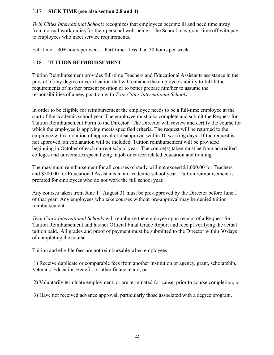#### 3.17 **SICK TIME (see also section 2.8 and 4)**

*Twin Cities International Schools* recognizes that employees become ill and need time away from normal work duties for their personal well-being. The School may grant time off with pay to employees who meet service requirements.

Full-time – 30+ hours per week - Part-time - less than 30 hours per week

### 3.18 **TUITION REIMBURSEMENT**

Tuition Reimbursement provides full-time Teachers and Educational Assistants assistance in the pursuit of any degree or certification that will enhance the employee's ability to fulfill the requirements of his/her present position or to better prepare him/her to assume the responsibilities of a new position with *Twin Cities International Schools.*

In order to be eligible for reimbursement the employee needs to be a full-time employee at the start of the academic school year. The employee must also complete and submit the Request for Tuition Reimbursement Form to the Director. The Director will review and certify the course for which the employee is applying meets specified criteria. The request will be returned to the employee with a notation of approval or disapproval within 10 working days. If the request is not approved, an explanation will be included. Tuition reimbursement will be provided beginning in October of each current school year. The course(s) taken must be from accredited colleges and universities specializing in job or career-related education and training.

The maximum reimbursement for all courses of study will not exceed \$1,000.00 for Teachers and \$500.00 for Educational Assistants in an academic school year. Tuition reimbursement is prorated for employees who do not work the full school year.

Any courses taken from June 1 –August 31 must be pre-approved by the Director before June 1 of that year. Any employees who take courses without pre-approval may be denied tuition reimbursement.

*Twin Cities International Schools* will reimburse the employee upon receipt of a Request for Tuition Reimbursement and his/her Official Final Grade Report and receipt verifying the actual tuition paid. All grades and proof of payment must be submitted to the Director within 30 days of completing the course.

Tuition and eligible fees are not reimbursable when employees:

1) Receive duplicate or comparable fees from another institution or agency, grant, scholarship, Veterans' Education Benefit, or other financial aid; or

2) Voluntarily terminate employment, or are terminated for cause, prior to course completion, or

3) Have not received advance approval, particularly those associated with a degree program.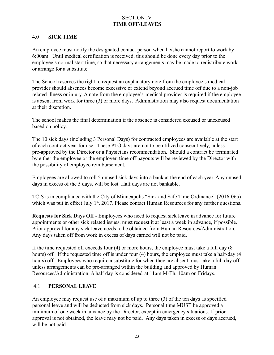### SECTION IV **TIME OFF/LEAVES**

### 4.0 **SICK TIME**

An employee must notify the designated contact person when he/she cannot report to work by 6:00am. Until medical certification is received, this should be done every day prior to the employee's normal start time, so that necessary arrangements may be made to redistribute work or arrange for a substitute.

The School reserves the right to request an explanatory note from the employee's medical provider should absences become excessive or extend beyond accrued time off due to a non-job related illness or injury. A note from the employee's medical provider is required if the employee is absent from work for three (3) or more days. Administration may also request documentation at their discretion.

The school makes the final determination if the absence is considered excused or unexcused based on policy.

The 10 sick days (including 3 Personal Days) for contracted employees are available at the start of each contract year for use. These PTO days are not to be utilized consecutively, unless pre-approved by the Director or a Physicians recommendation. Should a contract be terminated by either the employee or the employer, time off payouts will be reviewed by the Director with the possibility of employee reimbursement.

Employees are allowed to roll 5 unused sick days into a bank at the end of each year. Any unused days in excess of the 5 days, will be lost. Half days are not bankable.

TCIS is in compliance with the City of Minneapolis "Sick and Safe Time Ordinance" (2016-065) which was put in effect July  $1<sup>st</sup>$ , 2017. Please contact Human Resources for any further questions.

**Requests for Sick Days Off** - Employees who need to request sick leave in advance for future appointments or other sick related issues, must request it at least a week in advance, if possible. Prior approval for any sick leave needs to be obtained from Human Resources/Administration. Any days taken off from work in excess of days earned will not be paid.

If the time requested off exceeds four (4) or more hours, the employee must take a full day (8 hours) off. If the requested time off is under four (4) hours, the employee must take a half-day (4) hours) off. Employees who require a substitute for when they are absent must take a full day off unless arrangements can be pre-arranged within the building and approved by Human Resources/Administration. A half day is considered at 11am M-Th, 10am on Fridays.

### 4.1 **PERSONAL LEAVE**

An employee may request use of a maximum of up to three (3) of the ten days as specified personal leave and will be deducted from sick days. Personal time MUST be approved a minimum of one week in advance by the Director, except in emergency situations. If prior approval is not obtained, the leave may not be paid. Any days taken in excess of days accrued, will be not paid.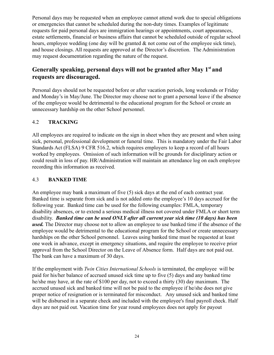Personal days may be requested when an employee cannot attend work due to special obligations or emergencies that cannot be scheduled during the non-duty times. Examples of legitimate requests for paid personal days are immigration hearings or appointments, court appearances, estate settlements, financial or business affairs that cannot be scheduled outside of regular school hours, employee wedding (one day will be granted  $\&$  not come out of the employee sick time), and house closings. All requests are approved at the Director's discretion. The Administration may request documentation regarding the nature of the request.

## **Generally speaking, personal days will not be granted after May 1 st and requests are discouraged.**

Personal days should not be requested before or after vacation periods, long weekends or Friday and Monday's in May/June. The Director may choose not to grant a personal leave if the absence of the employee would be detrimental to the educational program for the School or create an unnecessary hardship on the other School personnel.

### 4.2 **TRACKING**

All employees are required to indicate on the sign in sheet when they are present and when using sick, personal, professional development or funeral time. This is mandatory under the Fair Labor Standards Act (FLSA) 9 CFR 516.2, which requires employers to keep a record of all hours worked by employees. Omission of such information will be grounds for disciplinary action or could result in loss of pay. HR/Administration will maintain an attendance log on each employee recording this information as received.

### 4.3 **BANKED TIME**

An employee may bank a maximum of five (5) sick days at the end of each contract year. Banked time is separate from sick and is not added onto the employee's 10 days accrued for the following year. Banked time can be used for the following examples: FMLA, temporary disability absences, or to extend a serious medical illness not covered under FMLA or short term disability. *Banked time can be used ONLY after all current year sick time (10 days) has been used.* The Director may choose not to allow an employee to use banked time if the absence of the employee would be detrimental to the educational program for the School or create unnecessary hardships on the other School personnel. Leaves using banked time must be requested at least one week in advance, except in emergency situations, and require the employee to receive prior approval from the School Director on the Leave of Absence form. Half days are not paid out. The bank can have a maximum of 30 days.

If the employment with *Twin Cities International Schools* is terminated, the employee will be paid for his/her balance of accrued unused sick time up to five (5) days and any banked time he/she may have, at the rate of \$100 per day, not to exceed a thirty (30) day maximum. The accrued unused sick and banked time will not be paid to the employee if he/she does not give proper notice of resignation or is terminated for misconduct. Any unused sick and banked time will be disbursed in a separate check and included with the employee's final payroll check. Half days are not paid out. Vacation time for year round employees does not apply for payout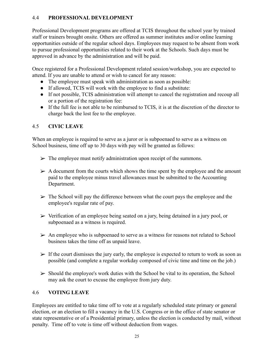### 4.4 **PROFESSIONAL DEVELOPMENT**

Professional Development programs are offered at TCIS throughout the school year by trained staff or trainers brought onsite. Others are offered as summer institutes and/or online learning opportunities outside of the regular school days. Employees may request to be absent from work to pursue professional opportunities related to their work at the Schools. Such days must be approved in advance by the administration and will be paid.

Once registered for a Professional Development related session/workshop, you are expected to attend. If you are unable to attend or wish to cancel for any reason:

- The employee must speak with administration as soon as possible:
- If allowed, TCIS will work with the employee to find a substitute:
- If not possible, TCIS administration will attempt to cancel the registration and recoup all or a portion of the registration fee:
- If the full fee is not able to be reimbursed to TCIS, it is at the discretion of the director to charge back the lost fee to the employee.

### 4.5 **CIVIC LEAVE**

When an employee is required to serve as a juror or is subpoenaed to serve as a witness on School business, time off up to 30 days with pay will be granted as follows:

- $\triangleright$  The employee must notify administration upon receipt of the summons.
- $\triangleright$  A document from the courts which shows the time spent by the employee and the amount paid to the employee minus travel allowances must be submitted to the Accounting Department.
- $\triangleright$  The School will pay the difference between what the court pays the employee and the employee's regular rate of pay.
- $\triangleright$  Verification of an employee being seated on a jury, being detained in a jury pool, or subpoenaed as a witness is required.
- $\triangleright$  An employee who is subpoenaed to serve as a witness for reasons not related to School business takes the time off as unpaid leave.
- $\triangleright$  If the court dismisses the jury early, the employee is expected to return to work as soon as possible (and complete a regular workday composed of civic time and time on the job.)
- $\triangleright$  Should the employee's work duties with the School be vital to its operation, the School may ask the court to excuse the employee from jury duty.

### 4.6 **VOTING LEAVE**

Employees are entitled to take time off to vote at a regularly scheduled state primary or general election, or an election to fill a vacancy in the U.S. Congress or in the office of state senator or state representative or of a Presidential primary, unless the election is conducted by mail, without penalty. Time off to vote is time off without deduction from wages.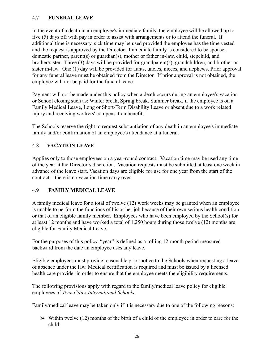### 4.7 **FUNERAL LEAVE**

In the event of a death in an employee's immediate family, the employee will be allowed up to five (5) days off with pay in order to assist with arrangements or to attend the funeral. If additional time is necessary, sick time may be used provided the employee has the time vested and the request is approved by the Director. Immediate family is considered to be spouse, domestic partner, parent(s) or guardian(s), mother or father in-law, child, stepchild, and brother/sister. Three (3) days will be provided for grandparent(s), grandchildren, and brother or sister in-law. One (1) day will be provided for aunts, uncles, nieces, and nephews. Prior approval for any funeral leave must be obtained from the Director. If prior approval is not obtained, the employee will not be paid for the funeral leave.

Payment will not be made under this policy when a death occurs during an employee's vacation or School closing such as: Winter break, Spring break, Summer break, if the employee is on a Family Medical Leave, Long or Short-Term Disability Leave or absent due to a work related injury and receiving workers' compensation benefits.

The Schools reserve the right to request substantiation of any death in an employee's immediate family and/or confirmation of an employee's attendance at a funeral.

### 4.8 **VACATION LEAVE**

Applies only to those employees on a year-round contract. Vacation time may be used any time of the year at the Director's discretion. Vacation requests must be submitted at least one week in advance of the leave start. Vacation days are eligible for use for one year from the start of the contract – there is no vacation time carry over.

#### 4.9 **FAMILY MEDICAL LEAVE**

A family medical leave for a total of twelve (12) work weeks may be granted when an employee is unable to perform the functions of his or her job because of their own serious health condition or that of an eligible family member. Employees who have been employed by the School(s) for at least 12 months and have worked a total of 1,250 hours during those twelve (12) months are eligible for Family Medical Leave.

For the purposes of this policy, "year" is defined as a rolling 12-month period measured backward from the date an employee uses any leave.

Eligible employees must provide reasonable prior notice to the Schools when requesting a leave of absence under the law. Medical certification is required and must be issued by a licensed health care provider in order to ensure that the employee meets the eligibility requirements.

The following provisions apply with regard to the family/medical leave policy for eligible employees of *Twin Cities International Schools*:

Family/medical leave may be taken only if it is necessary due to one of the following reasons:

 $\triangleright$  Within twelve (12) months of the birth of a child of the employee in order to care for the child;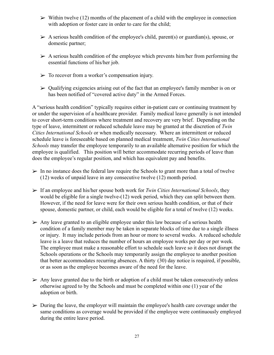- $\triangleright$  Within twelve (12) months of the placement of a child with the employee in connection with adoption or foster care in order to care for the child;
- $\triangleright$  A serious health condition of the employee's child, parent(s) or guardian(s), spouse, or domestic partner;
- $\triangleright$  A serious health condition of the employee which prevents him/her from performing the essential functions of his/her job.
- $\triangleright$  To recover from a worker's compensation injury.
- $\triangleright$  Qualifying exigencies arising out of the fact that an employee's family member is on or has been notified of "covered active duty" in the Armed Forces.

A "serious health condition" typically requires either in-patient care or continuing treatment by or under the supervision of a healthcare provider. Family medical leave generally is not intended to cover short-term conditions where treatment and recovery are very brief. Depending on the type of leave, intermittent or reduced schedule leave may be granted at the discretion of *Twin Cities International Schools* or when medically necessary. Where an intermittent or reduced schedule leave is foreseeable based on planned medical treatment, *Twin Cities International Schools* may transfer the employee temporarily to an available alternative position for which the employee is qualified. This position will better accommodate recurring periods of leave than does the employee's regular position, and which has equivalent pay and benefits.

- $\triangleright$  In no instance does the federal law require the Schools to grant more than a total of twelve (12) weeks of unpaid leave in any consecutive twelve (12) month period.
- ➢ If an employee and his/her spouse both work for *Twin Cities International Schools*, they would be eligible for a single twelve-(12) week period, which they can split between them. However, if the need for leave were for their own serious health condition, or that of their spouse, domestic partner, or child, each would be eligible for a total of twelve (12) weeks.
- $\triangleright$  Any leave granted to an eligible employee under this law because of a serious health condition of a family member may be taken in separate blocks of time due to a single illness or injury. It may include periods from an hour or more to several weeks. A reduced schedule leave is a leave that reduces the number of hours an employee works per day or per week. The employee must make a reasonable effort to schedule such leave so it does not disrupt the Schools operations or the Schools may temporarily assign the employee to another position that better accommodates recurring absences. A thirty (30) day notice is required, if possible, or as soon as the employee becomes aware of the need for the leave.
- $\triangleright$  Any leave granted due to the birth or adoption of a child must be taken consecutively unless otherwise agreed to by the Schools and must be completed within one (1) year of the adoption or birth.
- $\triangleright$  During the leave, the employer will maintain the employee's health care coverage under the same conditions as coverage would be provided if the employee were continuously employed during the entire leave period.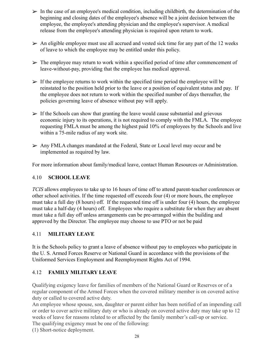- $\triangleright$  In the case of an employee's medical condition, including childbirth, the determination of the beginning and closing dates of the employee's absence will be a joint decision between the employee, the employee's attending physician and the employee's supervisor. A medical release from the employee's attending physician is required upon return to work.
- $\triangleright$  An eligible employee must use all accrued and vested sick time for any part of the 12 weeks of leave to which the employee may be entitled under this policy.
- $\triangleright$  The employee may return to work within a specified period of time after commencement of leave-without-pay, providing that the employee has medical approval.
- $\triangleright$  If the employee returns to work within the specified time period the employee will be reinstated to the position held prior to the leave or a position of equivalent status and pay. If the employee does not return to work within the specified number of days thereafter, the policies governing leave of absence without pay will apply.
- $\triangleright$  If the Schools can show that granting the leave would cause substantial and grievous economic injury to its operations, it is not required to comply with the FMLA. The employee requesting FMLA must be among the highest paid 10% of employees by the Schools and live within a 75-mile radius of any work site.
- ➢ Any FMLA changes mandated at the Federal, State or Local level may occur and be implemented as required by law.

For more information about family/medical leave, contact Human Resources or Administration.

### 4.10 **SCHOOL LEAVE**

*TCIS* allows employees to take up to 16 hours of time off to attend parent-teacher conferences or other school activities. If the time requested off exceeds four (4) or more hours, the employee must take a full day (8 hours) off. If the requested time off is under four (4) hours, the employee must take a half-day (4 hours) off. Employees who require a substitute for when they are absent must take a full day off unless arrangements can be pre-arranged within the building and approved by the Director. The employee may choose to use PTO or not be paid

#### 4.11 **MILITARY LEAVE**

It is the Schools policy to grant a leave of absence without pay to employees who participate in the U. S. Armed Forces Reserve or National Guard in accordance with the provisions of the Uniformed Services Employment and Reemployment Rights Act of 1994.

### 4.12 **FAMILY MILITARY LEAVE**

Qualifying exigency leave for families of members of the National Guard or Reserves or of a regular component of the Armed Forces when the covered military member is on covered active duty or called to covered active duty.

An employee whose spouse, son, daughter or parent either has been notified of an impending call or order to cover active military duty or who is already on covered active duty may take up to 12 weeks of leave for reasons related to or affected by the family member's call-up or service. The qualifying exigency must be one of the following:

(1) Short-notice deployment.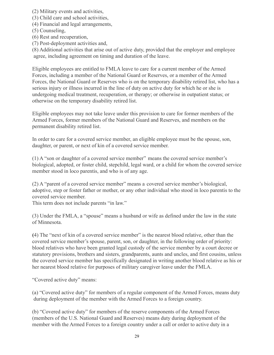(2) Military events and activities,

(3) Child care and school activities,

(4) Financial and legal arrangements,

(5) Counseling,

(6) Rest and recuperation,

(7) Post-deployment activities and,

(8) Additional activities that arise out of active duty, provided that the employer and employee agree, including agreement on timing and duration of the leave.

Eligible employees are entitled to FMLA leave to care for a current member of the Armed Forces, including a member of the National Guard or Reserves, or a member of the Armed Forces, the National Guard or Reserves who is on the temporary disability retired list, who has a serious injury or illness incurred in the line of duty on active duty for which he or she is undergoing medical treatment, recuperation, or therapy; or otherwise in outpatient status; or otherwise on the temporary disability retired list.

Eligible employees may not take leave under this provision to care for former members of the Armed Forces, former members of the National Guard and Reserves, and members on the permanent disability retired list.

In order to care for a covered service member, an eligible employee must be the spouse, son, daughter, or parent, or next of kin of a covered service member.

(1) A "son or daughter of a covered service member" means the covered service member's biological, adopted, or foster child, stepchild, legal ward, or a child for whom the covered service member stood in loco parentis, and who is of any age.

(2) A "parent of a covered service member" means a covered service member's biological, adoptive, step or foster father or mother, or any other individual who stood in loco parentis to the covered service member.

This term does not include parents "in law."

(3) Under the FMLA, a "spouse" means a husband or wife as defined under the law in the state of Minnesota.

**(**4) The "next of kin of a covered service member" is the nearest blood relative, other than the covered service member's spouse, parent, son, or daughter, in the following order of priority: blood relatives who have been granted legal custody of the service member by a court decree or statutory provisions, brothers and sisters, grandparents, aunts and uncles, and first cousins, unless the covered service member has specifically designated in writing another blood relative as his or her nearest blood relative for purposes of military caregiver leave under the FMLA.

"Covered active duty" means:

(a) "Covered active duty" for members of a regular component of the Armed Forces, means duty during deployment of the member with the Armed Forces to a foreign country.

(b) "Covered active duty" for members of the reserve components of the Armed Forces (members of the U.S. National Guard and Reserves) means duty during deployment of the member with the Armed Forces to a foreign country under a call or order to active duty in a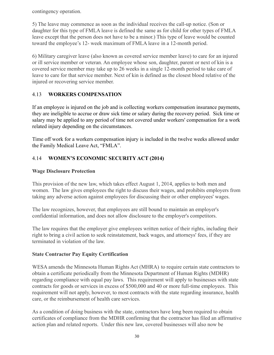contingency operation.

5) The leave may commence as soon as the individual receives the call-up notice. (Son or daughter for this type of FMLA leave is defined the same as for child for other types of FMLA leave except that the person does not have to be a minor.) This type of leave would be counted toward the employee's 12- week maximum of FMLA leave in a 12-month period.

6) Military caregiver leave (also known as covered service member leave) to care for an injured or ill service member or veteran. An employee whose son, daughter, parent or next of kin is a covered service member may take up to 26 weeks in a single 12-month period to take care of leave to care for that service member. Next of kin is defined as the closest blood relative of the injured or recovering service member.

### 4.13 **WORKERS COMPENSATION**

If an employee is injured on the job and is collecting workers compensation insurance payments, they are ineligible to accrue or draw sick time or salary during the recovery period. Sick time or salary may be applied to any period of time not covered under workers' compensation for a work related injury depending on the circumstances.

Time off work for a workers compensation injury is included in the twelve weeks allowed under the Family Medical Leave Act, "FMLA".

## 4.14 **WOMEN'S ECONOMIC SECURITY ACT (2014)**

### **Wage Disclosure Protection**

This provision of the new law, which takes effect August 1, 2014, applies to both men and women. The law gives employees the right to discuss their wages, and prohibits employers from taking any adverse action against employees for discussing their or other employees' wages.

The law recognizes, however, that employees are still bound to maintain an employer's confidential information, and does not allow disclosure to the employer's competitors.

The law requires that the employer give employees written notice of their rights, including their right to bring a civil action to seek reinstatement, back wages, and attorneys' fees, if they are terminated in violation of the law.

### **State Contractor Pay Equity Certification**

WESA amends the Minnesota Human Rights Act (MHRA) to require certain state contractors to obtain a certificate periodically from the Minnesota Department of Human Rights (MDHR) regarding compliance with equal pay laws. This requirement will apply to businesses with state contracts for goods or services in excess of \$500,000 and 40 or more full-time employees. This requirement will not apply, however, to most contracts with the state regarding insurance, health care, or the reimbursement of health care services.

As a condition of doing business with the state, contractors have long been required to obtain certificates of compliance from the MDHR confirming that the contractor has filed an affirmative action plan and related reports. Under this new law, covered businesses will also now be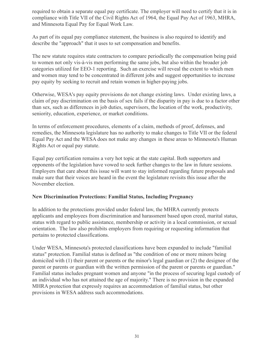required to obtain a separate equal pay certificate. The employer will need to certify that it is in compliance with Title VII of the Civil Rights Act of 1964, the Equal Pay Act of 1963, MHRA, and Minnesota Equal Pay for Equal Work Law.

As part of its equal pay compliance statement, the business is also required to identify and describe the "approach" that it uses to set compensation and benefits.

The new statute requires state contractors to compare periodically the compensation being paid to women not only vis-à-vis men performing the same jobs, but also within the broader job categories utilized for EEO-1 reporting. Such an exercise will reveal the extent to which men and women may tend to be concentrated in different jobs and suggest opportunities to increase pay equity by seeking to recruit and retain women in higher-paying jobs.

Otherwise, WESA's pay equity provisions do not change existing laws. Under existing laws, a claim of pay discrimination on the basis of sex fails if the disparity in pay is due to a factor other than sex, such as differences in job duties, supervisors, the location of the work, productivity, seniority, education, experience, or market conditions.

In terms of enforcement procedures, elements of a claim, methods of proof, defenses, and remedies, the Minnesota legislature has no authority to make changes to Title VII or the federal Equal Pay Act and the WESA does not make any changes in these areas to Minnesota's Human Rights Act or equal pay statute.

Equal pay certification remains a very hot topic at the state capital. Both supporters and opponents of the legislation have vowed to seek further changes to the law in future sessions. Employers that care about this issue will want to stay informed regarding future proposals and make sure that their voices are heard in the event the legislature revisits this issue after the November election.

#### **New Discrimination Protections: Familial Status, Including Pregnancy**

In addition to the protections provided under federal law, the MHRA currently protects applicants and employees from discrimination and harassment based upon creed, marital status, status with regard to public assistance, membership or activity in a local commission, or sexual orientation. The law also prohibits employers from requiring or requesting information that pertains to protected classifications.

Under WESA, Minnesota's protected classifications have been expanded to include "familial status" protection. Familial status is defined as "the condition of one or more minors being domiciled with (1) their parent or parents or the minor's legal guardian or (2) the designee of the parent or parents or guardian with the written permission of the parent or parents or guardian." Familial status includes pregnant women and anyone "in the process of securing legal custody of an individual who has not attained the age of majority." There is no provision in the expanded MHRA protection that expressly requires an accommodation of familial status, but other provisions in WESA address such accommodations.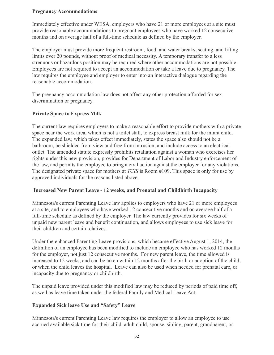#### **Pregnancy Accommodations**

Immediately effective under WESA, employers who have 21 or more employees at a site must provide reasonable accommodations to pregnant employees who have worked 12 consecutive months and on average half of a full-time schedule as defined by the employer.

The employer must provide more frequent restroom, food, and water breaks, seating, and lifting limits over 20 pounds, without proof of medical necessity. A temporary transfer to a less strenuous or hazardous position may be required where other accommodations are not possible. Employees are not required to accept an accommodation or take a leave due to pregnancy. The law requires the employee and employer to enter into an interactive dialogue regarding the reasonable accommodation.

The pregnancy accommodation law does not affect any other protection afforded for sex discrimination or pregnancy.

#### **Private Space to Express Milk**

The current law requires employers to make a reasonable effort to provide mothers with a private space near the work area, which is not a toilet stall, to express breast milk for the infant child. The expanded law, which takes effect immediately, states the space also should not be a bathroom, be shielded from view and free from intrusion, and include access to an electrical outlet. The amended statute expressly prohibits retaliation against a woman who exercises her rights under this new provision, provides for Department of Labor and Industry enforcement of the law, and permits the employee to bring a civil action against the employer for any violations. The designated private space for mothers at *TCIS* is Room #109. This space is only for use by approved individuals for the reasons listed above.

#### **Increased New Parent Leave - 12 weeks, and Prenatal and Childbirth Incapacity**

Minnesota's current Parenting Leave law applies to employers who have 21 or more employees at a site, and to employees who have worked 12 consecutive months and on average half of a full-time schedule as defined by the employer. The law currently provides for six weeks of unpaid new parent leave and benefit continuation, and allows employees to use sick leave for their children and certain relatives.

Under the enhanced Parenting Leave provisions, which became effective August 1, 2014, the definition of an employee has been modified to include an employee who has worked 12 months for the employer, not just 12 consecutive months. For new parent leave, the time allowed is increased to 12 weeks, and can be taken within 12 months after the birth or adoption of the child, or when the child leaves the hospital. Leave can also be used when needed for prenatal care, or incapacity due to pregnancy or childbirth.

The unpaid leave provided under this modified law may be reduced by periods of paid time off, as well as leave time taken under the federal Family and Medical Leave Act.

#### **Expanded Sick leave Use and "Safety" Leave**

Minnesota's current Parenting Leave law requires the employer to allow an employee to use accrued available sick time for their child, adult child, spouse, sibling, parent, grandparent, or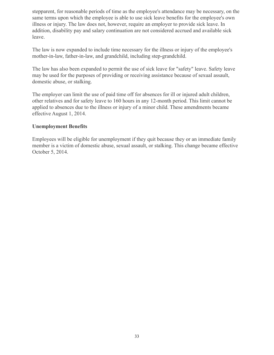stepparent, for reasonable periods of time as the employee's attendance may be necessary, on the same terms upon which the employee is able to use sick leave benefits for the employee's own illness or injury. The law does not, however, require an employer to provide sick leave. In addition, disability pay and salary continuation are not considered accrued and available sick leave.

The law is now expanded to include time necessary for the illness or injury of the employee's mother-in-law, father-in-law, and grandchild, including step-grandchild.

The law has also been expanded to permit the use of sick leave for "safety" leave. Safety leave may be used for the purposes of providing or receiving assistance because of sexual assault, domestic abuse, or stalking.

The employer can limit the use of paid time off for absences for ill or injured adult children, other relatives and for safety leave to 160 hours in any 12-month period. This limit cannot be applied to absences due to the illness or injury of a minor child. These amendments became effective August 1, 2014.

#### **Unemployment Benefits**

Employees will be eligible for unemployment if they quit because they or an immediate family member is a victim of domestic abuse, sexual assault, or stalking. This change became effective October 5, 2014.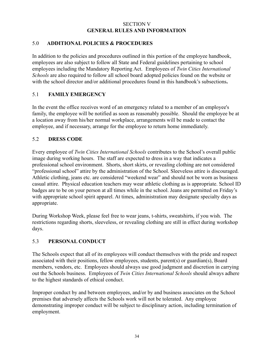#### SECTION V **GENERAL RULES AND INFORMATION**

#### 5.0 **ADDITIONAL POLICIES & PROCEDURES**

In addition to the policies and procedures outlined in this portion of the employee handbook, employees are also subject to follow all State and Federal guidelines pertaining to school employees including the Mandatory Reporting Act. Employees of *Twin Cities International Schools* are also required to follow all school board adopted policies found on the website or with the school director and/or additional procedures found in this handbook's subsections**.**

### 5.1 **FAMILY EMERGENCY**

In the event the office receives word of an emergency related to a member of an employee's family, the employee will be notified as soon as reasonably possible. Should the employee be at a location away from his/her normal workplace, arrangements will be made to contact the employee, and if necessary, arrange for the employee to return home immediately.

### 5.2 **DRESS CODE**

Every employee of *Twin Cities International Schools* contributes to the School's overall public image during working hours. The staff are expected to dress in a way that indicates a professional school environment. Shorts, short skirts, or revealing clothing are not considered "professional school" attire by the administration of the School. Sleeveless attire is discouraged. Athletic clothing, jeans etc. are considered "weekend wear" and should not be worn as business casual attire. Physical education teachers may wear athletic clothing as is appropriate. School ID badges are to be on your person at all times while in the school. Jeans are permitted on Friday's with appropriate school spirit apparel. At times, administration may designate specialty days as appropriate.

During Workshop Week, please feel free to wear jeans, t-shirts, sweatshirts, if you wish. The restrictions regarding shorts, sleeveless, or revealing clothing are still in effect during workshop days.

### 5.3 **PERSONAL CONDUCT**

The Schools expect that all of its employees will conduct themselves with the pride and respect associated with their positions, fellow employees, students, parent(s) or guardian(s), Board members, vendors, etc. Employees should always use good judgment and discretion in carrying out the Schools business. Employees of *Twin Cities International Schools* should always adhere to the highest standards of ethical conduct.

Improper conduct by and between employees, and/or by and business associates on the School premises that adversely affects the Schools work will not be tolerated. Any employee demonstrating improper conduct will be subject to disciplinary action, including termination of employment.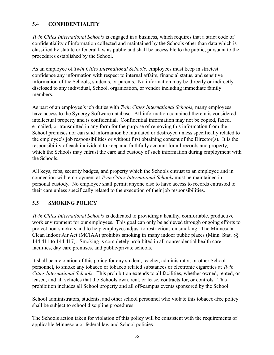### 5.4 **CONFIDENTIALITY**

*Twin Cities International Schools* is engaged in a business, which requires that a strict code of confidentiality of information collected and maintained by the Schools other than data which is classified by statute or federal law as public and shall be accessible to the public, pursuant to the procedures established by the School.

As an employee of *Twin Cities International Schools,* employees must keep in strictest confidence any information with respect to internal affairs, financial status, and sensitive information of the Schools, students, or parents. No information may be directly or indirectly disclosed to any individual, School, organization, or vendor including immediate family members.

As part of an employee's job duties with *Twin Cities International Schools,* many employees have access to the Synergy Software database. All information contained therein is considered intellectual property and is confidential. Confidential information may not be copied, faxed, e-mailed, or transmitted in any form for the purpose of removing this information from the School premises nor can said information be mutilated or destroyed unless specifically related to the employee's job responsibilities or without first obtaining consent of the Director(s). It is the responsibility of each individual to keep and faithfully account for all records and property, which the Schools may entrust the care and custody of such information during employment with the Schools.

All keys, fobs, security badges, and property which the Schools entrust to an employee and in connection with employment at *Twin Cities International Schools* must be maintained in personal custody. No employee shall permit anyone else to have access to records entrusted to their care unless specifically related to the execution of their job responsibilities.

#### 5.5 **SMOKING POLICY**

*Twin Cities International Schools* is dedicated to providing a healthy, comfortable, productive work environment for our employees. This goal can only be achieved through ongoing efforts to protect non-smokers and to help employees adjust to restrictions on smoking. The Minnesota Clean Indoor Air Act (MCIAA) prohibits smoking in many indoor public places (Minn. Stat. §§ 144.411 to 144.417). Smoking is completely prohibited in all nonresidential health care facilities, day care premises, and public/private schools.

It shall be a violation of this policy for any student, teacher, administrator, or other School personnel, to smoke any tobacco or tobacco related substances or electronic cigarettes at *Twin Cities International Schools*. This prohibition extends to all facilities, whether owned, rented, or leased, and all vehicles that the Schools own, rent, or lease, contracts for, or controls. This prohibition includes all School property and all off-campus events sponsored by the School.

School administrators, students, and other school personnel who violate this tobacco-free policy shall be subject to school discipline procedures.

The Schools action taken for violation of this policy will be consistent with the requirements of applicable Minnesota or federal law and School policies.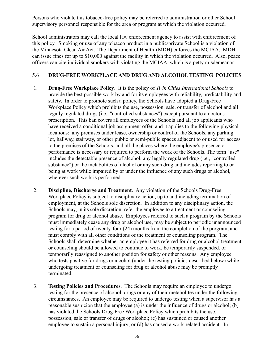Persons who violate this tobacco-free policy may be referred to administration or other School supervisory personnel responsible for the area or program at which the violation occurred.

School administrators may call the local law enforcement agency to assist with enforcement of this policy. Smoking or use of any tobacco product in a public/private School is a violation of the Minnesota Clean Air Act. The Department of Health (MDH) enforces the MCIAA. MDH can issue fines for up to \$10,000 against the facility in which the violation occurred. Also, peace officers can cite individual smokers with violating the MCIAA, which is a petty misdemeanor.

### 5.6 **DRUG-FREE WORKPLACE AND DRUG AND ALCOHOL TESTING POLICIES**

- 1. **Drug-Free Workplace Policy**. It is the policy of *Twin Cities International Schools* to provide the best possible work by and for its employees with reliability, predictability and safety. In order to promote such a policy, the Schools have adopted a Drug-Free Workplace Policy which prohibits the use, possession, sale, or transfer of alcohol and all legally regulated drugs (i.e., "controlled substances") except pursuant to a doctor's prescription. This ban covers all employees of the Schools and all job applicants who have received a conditional job assignment offer, and it applies to the following physical locations: any premises under lease, ownership or control of the Schools, any parking lot, hallway, stairway, or other public or semi-public spaces adjacent to or used for access to the premises of the Schools, and all the places where the employee's presence or performance is necessary or required to perform the work of the Schools. The term "use" includes the detectable presence of alcohol, any legally regulated drug (i.e., "controlled") substance") or the metabolites of alcohol or any such drug and includes reporting to or being at work while impaired by or under the influence of any such drugs or alcohol, wherever such work is performed.
- 2. **Discipline, Discharge and Treatment**. Any violation of the Schools Drug-Free Workplace Policy is subject to disciplinary action, up to and including termination of employment, at the Schools sole discretion. In addition to any disciplinary action, the Schools may, in its sole discretion, refer the employee to a treatment or counseling program for drug or alcohol abuse. Employees referred to such a program by the Schools must immediately cease any drug or alcohol use, may be subject to periodic unannounced testing for a period of twenty-four (24) months from the completion of the program, and must comply with all other conditions of the treatment or counseling program. The Schools shall determine whether an employee it has referred for drug or alcohol treatment or counseling should be allowed to continue to work, be temporarily suspended, or temporarily reassigned to another position for safety or other reasons. Any employee who tests positive for drugs or alcohol (under the testing policies described below) while undergoing treatment or counseling for drug or alcohol abuse may be promptly terminated.
- 3. **Testing Policies and Procedures**. The Schools may require an employee to undergo testing for the presence of alcohol, drugs or any of their metabolites under the following circumstances. An employee may be required to undergo testing when a supervisor has a reasonable suspicion that the employee (a) is under the influence of drugs or alcohol; (b) has violated the Schools Drug-Free Workplace Policy which prohibits the use, possession, sale or transfer of drugs or alcohol; (c) has sustained or caused another employee to sustain a personal injury; or (d) has caused a work-related accident. In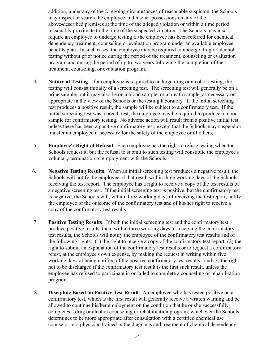addition, under any of the foregoing circumstances of reasonable suspicion, the Schools may inspect or search the employee and his/her possessions on any of the above-described premises at the time of the alleged violation or within a time period reasonably proximate to the time of the suspected violation. The Schools may also require an employee to undergo testing if the employee has been referred for chemical dependency treatment, counseling or evaluation program under an available employee benefits plan. In such cases, the employee may be required to undergo drug or alcohol testing without prior notice during the period of the treatment, counseling or evaluation program and during the period of up to two years following the completion of the treatment, counseling, or evaluation program.

- 4. **Nature of Testing**. If an employee is required to undergo drug or alcohol testing, the testing will consist initially of a screening test. The screening test will generally be on a urine sample, but it may also be on a blood sample, or a breath sample, as necessary or appropriate in the view of the Schools or the testing laboratory. If the initial screening test produces a positive result, the sample will be subject to a confirmatory test. If the initial screening test was a breath test, the employee may be required to produce a blood sample for confirmatory testing. No adverse action will result from a positive initial test unless there has been a positive confirmatory test, except that the Schools may suspend or transfer an employee if necessary for the safety of the employee or of others.
- 5. **Employee's Right of Refusal**. Each employee has the right to refuse testing when the Schools request it, but the refusal to submit to such testing will constitute the employee's voluntary termination of employment with the Schools.
- 6. **Negative Testing Results**. When an initial screening test produces a negative result, the Schools will notify the employee of that result within three working days of the Schools receiving the test report. The employee has a right to receive a copy of the test results of a negative screening test. If the initial screening test is positive, but the confirmatory test is negative, the Schools will, within three working days of receiving the test report, notify the employee of the outcome of the confirmatory test and of his/her right to receive a copy of the confirmatory test results.
- 7. **Positive Testing Results**. If both the initial screening test and the confirmatory test produce positive results, then, within three working days of receiving the confirmatory test results, the Schools will notify the employee of the confirmatory test results and of the following rights: (1) the right to receive a copy of the confirmatory test report; (2) the right to submit an explanation of the confirmatory test results or to request a confirmatory retest, at the employee's own expense, by making the request in writing within five working days of being notified of the positive confirmatory test results; and (3) the right not to be discharged if the confirmatory test result is the first such result, unless the employee has refused to participate in or failed to complete a counseling or rehabilitation program.
- 8. **Discipline Based on Positive Test Result**. An employee who has tested positive on a confirmatory test, which is the first result will generally receive a written warning and be allowed to continue his/her employment on the condition that he or she successfully completes a drug or alcohol counseling or rehabilitation program, whichever the Schools determines to be more appropriate after consultation with a certified chemical use counselor or a physician trained in the diagnosis and treatment of chemical dependency.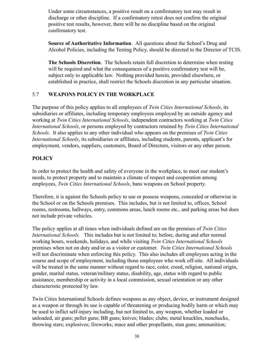Under some circumstances, a positive result on a confirmatory test may result in discharge or other discipline. If a confirmatory retest does not confirm the original positive test results, however, there will be no discipline based on the original confirmatory test.

**Source of Authoritative Information**. All questions about the School's Drug and Alcohol Policies, including the Testing Policy, should be directed to the Director of TCIS.

**The Schools Discretion**. The Schools retain full discretion to determine when testing will be required and what the consequences of a positive confirmatory test will be, subject only to applicable law. Nothing provided herein, provided elsewhere, or established in practice, shall restrict the Schools discretion in any particular situation.

### 5.7 **WEAPONS POLICY IN THE WORKPLACE**

The purpose of this policy applies to all employees of *Twin Cities International Schools*, its subsidiaries or affiliates, including temporary employees employed by an outside agency and working at *Twin Cities International Schools*, independent contractors working at *Twin Cities International Schools*, or persons employed by contractors retained by *Twin Cities International Schools*. It also applies to any other individual who appears on the premises of *Twin Cities International Schools*, its subsidiaries or affiliates, including students, parents, applicant's for employment, vendors, suppliers, customers, Board of Directors, visitors or any other person.

### **POLICY**

In order to protect the health and safety of everyone in the workplace, to meet our student's needs, to protect property and to maintain a climate of respect and cooperation among employees, *Twin Cities International Schools*, bans weapons on School property.

Therefore, it is against the Schools policy to use or possess weapons, concealed or otherwise in the School or on the Schools premises. This includes, but is not limited to, offices, School rooms, restrooms, hallways, entry, commons areas, lunch rooms etc., and parking areas but does not include private vehicles.

The policy applies at all times when individuals defined are on the premises of *Twin Cities International Schools.* This includes but is not limited to; before, during and after normal working hours, weekends, holidays, and while visiting *Twin Cities International Schools* premises when not on duty and/or as a visitor or customer. *Twin Cities International Schools* will not discriminate when enforcing this policy. This also includes all employees acting in the course and scope of employment, including those employees who work off-site. All individuals will be treated in the same manner without regard to race, color, creed, religion, national origin, gender, marital status, veteran/military status, disability, age, status with regard to public assistance, membership or activity in a local commission, sexual orientation or any other characteristic protected by law.

Twin Cities International Schools defines weapons as any object, device, or instrument designed as a weapon or through its use is capable of threatening or producing bodily harm or which may be used to inflict self-injury including, but not limited to, any weapon, whether loaded or unloaded, air guns; pellet guns; BB guns; knives; blades; clubs; metal knuckles, nunchucks, throwing stars; explosives; fireworks; mace and other propellants, stun guns; ammunition;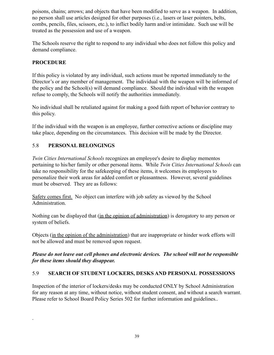poisons, chains; arrows; and objects that have been modified to serve as a weapon. In addition, no person shall use articles designed for other purposes (i.e., lasers or laser pointers, belts, combs, pencils, files, scissors, etc.), to inflict bodily harm and/or intimidate. Such use will be treated as the possession and use of a weapon.

The Schools reserve the right to respond to any individual who does not follow this policy and demand compliance.

### **PROCEDURE**

.

If this policy is violated by any individual, such actions must be reported immediately to the Director's or any member of management. The individual with the weapon will be informed of the policy and the School(s) will demand compliance. Should the individual with the weapon refuse to comply, the Schools will notify the authorities immediately.

No individual shall be retaliated against for making a good faith report of behavior contrary to this policy.

If the individual with the weapon is an employee, further corrective actions or discipline may take place, depending on the circumstances. This decision will be made by the Director.

### 5.8 **PERSONAL BELONGINGS**

*Twin Cities International Schools* recognizes an employee's desire to display mementos pertaining to his/her family or other personal items. While *Twin Cities International Schools* can take no responsibility for the safekeeping of these items, it welcomes its employees to personalize their work areas for added comfort or pleasantness. However, several guidelines must be observed. They are as follows:

Safety comes first. No object can interfere with job safety as viewed by the School Administration.

Nothing can be displayed that (in the opinion of administration) is derogatory to any person or system of beliefs.

Objects (in the opinion of the administration) that are inappropriate or hinder work efforts will not be allowed and must be removed upon request.

### *Please do not leave out cell phones and electronic devices. The school will not be responsible for these items should they disappear.*

### 5.9 **SEARCH OF STUDENT LOCKERS, DESKS AND PERSONAL POSSESSIONS**

Inspection of the interior of lockers/desks may be conducted ONLY by School Administration for any reason at any time, without notice, without student consent, and without a search warrant. Please refer to School Board Policy Series 502 for further information and guidelines..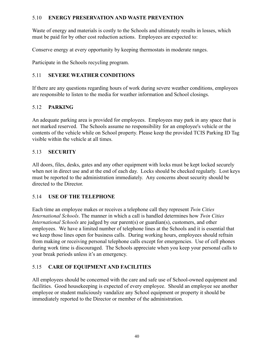### 5.10 **ENERGY PRESERVATION AND WASTE PREVENTION**

Waste of energy and materials is costly to the Schools and ultimately results in losses, which must be paid for by other cost reduction actions. Employees are expected to:

Conserve energy at every opportunity by keeping thermostats in moderate ranges.

Participate in the Schools recycling program.

### 5.11 **SEVERE WEATHER CONDITIONS**

If there are any questions regarding hours of work during severe weather conditions, employees are responsible to listen to the media for weather information and School closings.

### 5.12 **PARKING**

An adequate parking area is provided for employees. Employees may park in any space that is not marked reserved. The Schools assume no responsibility for an employee's vehicle or the contents of the vehicle while on School property. Please keep the provided TCIS Parking ID Tag visible within the vehicle at all times.

### 5.13 **SECURITY**

All doors, files, desks, gates and any other equipment with locks must be kept locked securely when not in direct use and at the end of each day. Locks should be checked regularly. Lost keys must be reported to the administration immediately. Any concerns about security should be directed to the Director.

### 5.14 **USE OF THE TELEPHONE**

Each time an employee makes or receives a telephone call they represent *Twin Cities International Schools*. The manner in which a call is handled determines how *Twin Cities International Schools* are judged by our parent(s) or guardian(s), customers, and other employees. We have a limited number of telephone lines at the Schools and it is essential that we keep those lines open for business calls. During working hours, employees should refrain from making or receiving personal telephone calls except for emergencies. Use of cell phones during work time is discouraged. The Schools appreciate when you keep your personal calls to your break periods unless it's an emergency.

### 5.15 **CARE OF EQUIPMENT AND FACILITIES**

All employees should be concerned with the care and safe use of School-owned equipment and facilities. Good housekeeping is expected of every employee. Should an employee see another employee or student maliciously vandalize any School equipment or property it should be immediately reported to the Director or member of the administration.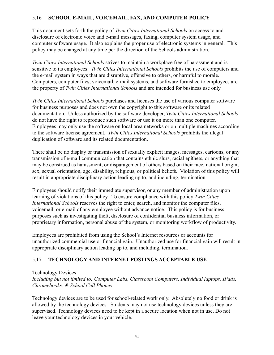### 5.16 **SCHOOL E-MAIL, VOICEMAIL, FAX, AND COMPUTER POLICY**

This document sets forth the policy of *Twin Cities International Schools* on access to and disclosure of electronic voice and e-mail messages, faxing, computer system usage, and computer software usage. It also explains the proper use of electronic systems in general. This policy may be changed at any time per the direction of the Schools administration.

*Twin Cities International Schools* strives to maintain a workplace free of harassment and is sensitive to its employees. *Twin Cities International Schools* prohibits the use of computers and the e-mail system in ways that are disruptive, offensive to others, or harmful to morale. Computers, computer files, voicemail, e-mail systems, and software furnished to employees are the property of *Twin Cities International Schools* and are intended for business use only.

*Twin Cities International Schools* purchases and licenses the use of various computer software for business purposes and does not own the copyright to this software or its related documentation. Unless authorized by the software developer, *Twin Cities International Schools* do not have the right to reproduce such software or use it on more than one computer. Employees may only use the software on local area networks or on multiple machines according to the software license agreement. *Twin Cities International Schools* prohibits the illegal duplication of software and its related documentation.

There shall be no display or transmission of sexually explicit images, messages, cartoons, or any transmission of e-mail communication that contains ethnic slurs, racial epithets, or anything that may be construed as harassment, or disparagement of others based on their race, national origin, sex, sexual orientation, age, disability, religious, or political beliefs. Violation of this policy will result in appropriate disciplinary action leading up to, and including, termination.

Employees should notify their immediate supervisor, or any member of administration upon learning of violations of this policy. To ensure compliance with this policy *Twin Cities International Schools* reserves the right to enter, search, and monitor the computer files, voicemail, or e-mail of any employee without advance notice. This policy is for business purposes such as investigating theft, disclosure of confidential business information, or proprietary information, personal abuse of the system, or monitoring workflow of productivity.

Employees are prohibited from using the School's Internet resources or accounts for unauthorized commercial use or financial gain. Unauthorized use for financial gain will result in appropriate disciplinary action leading up to, and including, termination.

### 5.17 **TECHNOLOGY AND INTERNET POSTINGS ACCEPTABLE USE**

#### Technology Devices

*Including but not limited to: Computer Labs, Classroom Computers, Individual laptops, IPads, Chromebooks, & School Cell Phones*

Technology devices are to be used for school-related work only. Absolutely no food or drink is allowed by the technology devices. Students may not use technology devices unless they are supervised. Technology devices need to be kept in a secure location when not in use. Do not leave your technology devices in your vehicle.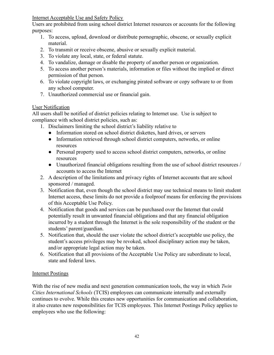Internet Acceptable Use and Safety Policy

Users are prohibited from using school district Internet resources or accounts for the following purposes:

- 1. To access, upload, download or distribute pornographic, obscene, or sexually explicit material.
- 2. To transmit or receive obscene, abusive or sexually explicit material.
- 3. To violate any local, state, or federal statute.
- 4. To vandalize, damage or disable the property of another person or organization.
- 5. To access another person's materials, information or files without the implied or direct permission of that person.
- 6. To violate copyright laws, or exchanging pirated software or copy software to or from any school computer.
- 7. Unauthorized commercial use or financial gain.

## User Notification

All users shall be notified of district policies relating to Internet use. Use is subject to compliance with school district policies, such as:

- 1. Disclaimers limiting the school district's liability relative to
	- Information stored on school district diskettes, hard drives, or servers
	- Information retrieved through school district computers, networks, or online resources
	- Personal property used to access school district computers, networks, or online resources
	- Unauthorized financial obligations resulting from the use of school district resources / accounts to access the Internet
- 2. A description of the limitations and privacy rights of Internet accounts that are school sponsored / managed.
- 3. Notification that, even though the school district may use technical means to limit student Internet access, these limits do not provide a foolproof means for enforcing the provisions of this Acceptable Use Policy.
- 4. Notification that goods and services can be purchased over the Internet that could potentially result in unwanted financial obligations and that any financial obligation incurred by a student through the Internet is the sole responsibility of the student or the students' parent/guardian.
- 5. Notification that, should the user violate the school district's acceptable use policy, the student's access privileges may be revoked, school disciplinary action may be taken, and/or appropriate legal action may be taken.
- 6. Notification that all provisions of the Acceptable Use Policy are subordinate to local, state and federal laws.

## Internet Postings

With the rise of new media and next generation communication tools, the way in which *Twin Cities International Schools* (TCIS) employees can communicate internally and externally continues to evolve. While this creates new opportunities for communication and collaboration, it also creates new responsibilities for TCIS employees. This Internet Postings Policy applies to employees who use the following: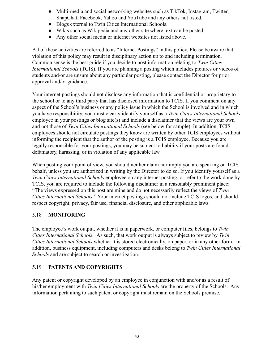- Multi-media and social networking websites such as TikTok, Instagram, Twitter, SnapChat, Facebook, Yahoo and YouTube and any others not listed.
- Blogs external to Twin Cities International Schools.
- Wikis such as Wikipedia and any other site where text can be posted.
- Any other social media or internet websites not listed above.

All of these activities are referred to as "Internet Postings" in this policy. Please be aware that violation of this policy may result in disciplinary action up to and including termination. Common sense is the best guide if you decide to post information relating to *Twin Cities International Schools* (TCIS). If you are planning a posting which includes pictures or videos of students and/or are unsure about any particular posting, please contact the Director for prior approval and/or guidance.

Your internet postings should not disclose any information that is confidential or proprietary to the school or to any third party that has disclosed information to TCIS. If you comment on any aspect of the School's business or any policy issue in which the School is involved and in which you have responsibility, you must clearly identify yourself as a *Twin Cities International Schools* employee in your postings or blog site(s) and include a disclaimer that the views are your own and not those of *Twin Cities International Schools* (see below for sample). In addition, TCIS employees should not circulate postings they know are written by other TCIS employees without informing the recipient that the author of the posting is a TCIS employee. Because you are legally responsible for your postings, you may be subject to liability if your posts are found defamatory, harassing, or in violation of any applicable law.

When posting your point of view, you should neither claim nor imply you are speaking on TCIS behalf, unless you are authorized in writing by the Director to do so. If you identify yourself as a *Twin Cities International Schools* employee on any internet posting, or refer to the work done by TCIS, you are required to include the following disclaimer in a reasonably prominent place: "The views expressed on this post are mine and do not necessarily reflect the views of *Twin Cities International Schools*." Your internet postings should not include TCIS logos, and should respect copyright, privacy, fair use, financial disclosure, and other applicable laws.

### 5.18 **MONITORING**

The employee's work output, whether it is in paperwork, or computer files, belongs to *Twin Cities International Schools.* As such, that work output is always subject to review by *Twin Cities International Schools* whether it is stored electronically, on paper, or in any other form. In addition, business equipment, including computers and desks belong to *Twin Cities International Schools* and are subject to search or investigation.

### 5.19 **PATENTS AND COPYRIGHTS**

Any patent or copyright developed by an employee in conjunction with and/or as a result of his/her employment with *Twin Cities International Schools* are the property of the Schools. Any information pertaining to such patent or copyright must remain on the Schools premise.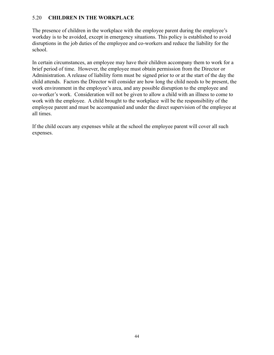### 5.20 **CHILDREN IN THE WORKPLACE**

The presence of children in the workplace with the employee parent during the employee's workday is to be avoided, except in emergency situations. This policy is established to avoid disruptions in the job duties of the employee and co-workers and reduce the liability for the school.

In certain circumstances, an employee may have their children accompany them to work for a brief period of time. However, the employee must obtain permission from the Director or Administration. A release of liability form must be signed prior to or at the start of the day the child attends. Factors the Director will consider are how long the child needs to be present, the work environment in the employee's area, and any possible disruption to the employee and co-worker's work. Consideration will not be given to allow a child with an illness to come to work with the employee. A child brought to the workplace will be the responsibility of the employee parent and must be accompanied and under the direct supervision of the employee at all times.

If the child occurs any expenses while at the school the employee parent will cover all such expenses.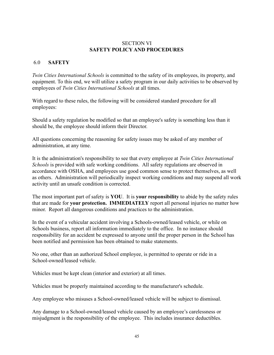#### SECTION VI **SAFETY POLICY AND PROCEDURES**

#### 6.0 **SAFETY**

*Twin Cities International Schools* is committed to the safety of its employees, its property, and equipment. To this end, we will utilize a safety program in our daily activities to be observed by employees of *Twin Cities International Schools* at all times.

With regard to these rules, the following will be considered standard procedure for all employees:

Should a safety regulation be modified so that an employee's safety is something less than it should be, the employee should inform their Director.

All questions concerning the reasoning for safety issues may be asked of any member of administration, at any time.

It is the administration's responsibility to see that every employee at *Twin Cities International Schools* is provided with safe working conditions. All safety regulations are observed in accordance with OSHA, and employees use good common sense to protect themselves, as well as others. Administration will periodically inspect working conditions and may suspend all work activity until an unsafe condition is corrected.

The most important part of safety is **YOU**. It is **your responsibility** to abide by the safety rules that are made for **your protection. IMMEDIATELY** report all personal injuries no matter how minor. Report all dangerous conditions and practices to the administration.

In the event of a vehicular accident involving a Schools-owned/leased vehicle, or while on Schools business, report all information immediately to the office. In no instance should responsibility for an accident be expressed to anyone until the proper person in the School has been notified and permission has been obtained to make statements.

No one, other than an authorized School employee, is permitted to operate or ride in a School-owned/leased vehicle.

Vehicles must be kept clean (interior and exterior) at all times.

Vehicles must be properly maintained according to the manufacturer's schedule.

Any employee who misuses a School-owned/leased vehicle will be subject to dismissal.

Any damage to a School-owned/leased vehicle caused by an employee's carelessness or misjudgment is the responsibility of the employee. This includes insurance deductibles.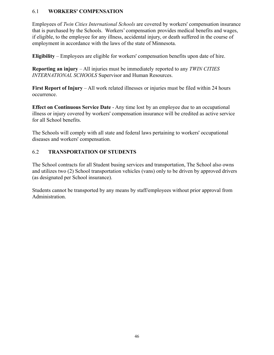#### 6.1 **WORKERS' COMPENSATION**

Employees of *Twin Cities International Schools* are covered by workers' compensation insurance that is purchased by the Schools. Workers' compensation provides medical benefits and wages, if eligible, to the employee for any illness, accidental injury, or death suffered in the course of employment in accordance with the laws of the state of Minnesota.

**Eligibility** – Employees are eligible for workers' compensation benefits upon date of hire.

**Reporting an injury** – All injuries must be immediately reported to any *TWIN CITIES INTERNATIONAL SCHOOLS* Supervisor and Human Resources.

**First Report of Injury** – All work related illnesses or injuries must be filed within 24 hours occurrence.

**Effect on Continuous Service Date** - Any time lost by an employee due to an occupational illness or injury covered by workers' compensation insurance will be credited as active service for all School benefits.

The Schools will comply with all state and federal laws pertaining to workers' occupational diseases and workers' compensation.

### 6.2 **TRANSPORTATION OF STUDENTS**

The School contracts for all Student busing services and transportation, The School also owns and utilizes two (2) School transportation vehicles (vans) only to be driven by approved drivers (as designated per School insurance).

Students cannot be transported by any means by staff/employees without prior approval from Administration.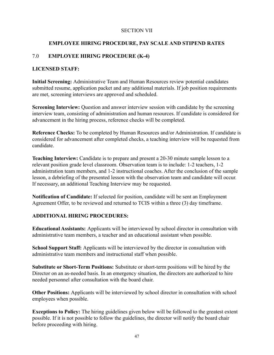#### SECTION VII

### **EMPLOYEE HIRING PROCEDURE, PAY SCALE AND STIPEND RATES**

### 7.0 **EMPLOYEE HIRING PROCEDURE (K-4)**

#### **LICENSED STAFF:**

**Initial Screening:** Administrative Team and Human Resources review potential candidates submitted resume, application packet and any additional materials. If job position requirements are met, screening interviews are approved and scheduled.

**Screening Interview:** Question and answer interview session with candidate by the screening interview team, consisting of administration and human resources. If candidate is considered for advancement in the hiring process, reference checks will be completed.

**Reference Checks:** To be completed by Human Resources and/or Administration. If candidate is considered for advancement after completed checks, a teaching interview will be requested from candidate.

**Teaching Interview:** Candidate is to prepare and present a 20-30 minute sample lesson to a relevant position grade level classroom. Observation team is to include: 1-2 teachers, 1-2 administration team members, and 1-2 instructional coaches. After the conclusion of the sample lesson, a debriefing of the presented lesson with the observation team and candidate will occur. If necessary, an additional Teaching Interview may be requested.

**Notification of Candidate:** If selected for position, candidate will be sent an Employment Agreement Offer, to be reviewed and returned to TCIS within a three (3) day timeframe.

### **ADDITIONAL HIRING PROCEDURES:**

**Educational Assistants:** Applicants will be interviewed by school director in consultation with administrative team members, a teacher and an educational assistant when possible.

**School Support Staff:** Applicants will be interviewed by the director in consultation with administrative team members and instructional staff when possible.

**Substitute or Short-Term Positions:** Substitute or short-term positions will be hired by the Director on an as-needed basis. In an emergency situation, the directors are authorized to hire needed personnel after consultation with the board chair.

**Other Positions:** Applicants will be interviewed by school director in consultation with school employees when possible.

**Exceptions to Policy:** The hiring guidelines given below will be followed to the greatest extent possible. If it is not possible to follow the guidelines, the director will notify the board chair before proceeding with hiring.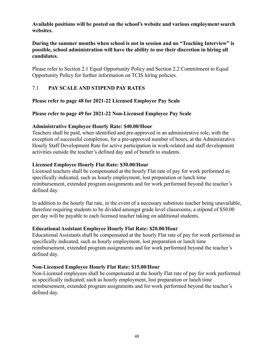**Available positions will be posted on the school's website and various employment search websites.**

#### **During the summer months when school is not in session and no "Teaching Interview" is possible, school administration will have the ability to use their discretion in hiring all candidates.**

Please refer to Section 2.1 Equal Opportunity Policy and Section 2.2 Commitment to Equal Opportunity Policy for further information on TCIS hiring policies.

### 7.1 **PAY SCALE AND STIPEND PAY RATES**

#### **Please refer to page 48 for 2021-22 Licensed Employee Pay Scale**

#### **Please refer to page 49 for 2021-22 Non-Licensed Employee Pay Scale**

#### **Administrative Employee Hourly Rate: \$40.00/Hour**

Teachers shall be paid, when identified and pre-approved in an administrative role, with the exception of successful completion, for a pre-approved number of hours, at the Administrative Hourly Staff Development Rate for active participation in work-related and staff development activities outside the teacher's defined day and of benefit to students.

#### **Licensed Employee Hourly Flat Rate: \$30.00/Hour**

Licensed teachers shall be compensated at the hourly Flat rate of pay for work performed as specifically indicated, such as hourly employment, lost preparation or lunch time reimbursement, extended program assignments and for work performed beyond the teacher's defined day.

In addition to the hourly flat rate, in the event of a necessary substitute teacher being unavailable, therefore requiring students to be divided amongst grade level classrooms, a stipend of \$50.00 per day will be payable to each licensed teacher taking on additional students.

#### **Educational Assistant Employee Hourly Flat Rate: \$20.00/Hour**

Educational Assistants shall be compensated at the hourly Flat rate of pay for work performed as specifically indicated, such as hourly employment, lost preparation or lunch time reimbursement, extended program assignments and for work performed beyond the teacher's defined day.

#### **Non-Licensed Employee Hourly Flat Rate: \$15.00/Hour**

Non-Licensed employees shall be compensated at the hourly Flat rate of pay for work performed as specifically indicated, such as hourly employment, lost preparation or lunch time reimbursement, extended program assignments and for work performed beyond the teacher's defined day.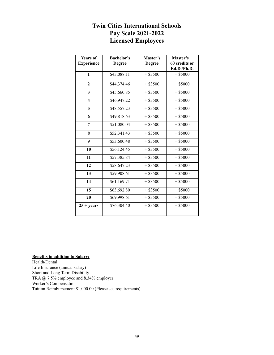## **Twin Cities International Schools Pay Scale 2021-2022 Licensed Employees**

| <b>Years of</b><br><b>Experience</b> | <b>Bachelor's</b><br><b>Degree</b> | Master's<br><b>Degree</b> | Master's +<br>60 credits or<br>Ed.D./Ph.D. |
|--------------------------------------|------------------------------------|---------------------------|--------------------------------------------|
| $\mathbf{1}$                         | \$43,088.11                        | $+$ \$3500                | $+$ \$5000                                 |
| $\mathbf{2}$                         | \$44,374.46                        | $+$ \$3500                | $+$ \$5000                                 |
| 3                                    | \$45,660.85                        | $+$ \$3500                | $+$ \$5000                                 |
| $\overline{\mathbf{4}}$              | \$46,947.22                        | $+$ \$3500                | $+$ \$5000                                 |
| 5                                    | \$48,557.23                        | $+$ \$3500                | $+$ \$5000                                 |
| 6                                    | \$49,818.63                        | $+$ \$3500                | $+$ \$5000                                 |
| 7                                    | \$51,080.04                        | $+$ \$3500                | $+$ \$5000                                 |
| 8                                    | \$52,341.43                        | $+$ \$3500                | $+$ \$5000                                 |
| 9                                    | \$53,600.48                        | $+$ \$3500                | $+$ \$5000                                 |
| 10                                   | \$56,124.45                        | $+$ \$3500                | $+$ \$5000                                 |
| 11                                   | \$57,385.84                        | $+$ \$3500                | $+$ \$5000                                 |
| 12                                   | \$58,647.23                        | $+$ \$3500                | $+$ \$5000                                 |
| 13                                   | \$59,908.61                        | $+$ \$3500                | $+$ \$5000                                 |
| 14                                   | \$61,169.71                        | $+$ \$3500                | $+$ \$5000                                 |
| 15                                   | \$63,692.80                        | $+$ \$3500                | $+$ \$5000                                 |
| 20                                   | \$69,998.61                        | $+$ \$3500                | $+$ \$5000                                 |
| $25 + years$                         | \$76,304.40                        | $+$ \$3500                | $+$ \$5000                                 |

#### **Benefits in addition to Salary:**

Health/Dental Life Insurance (annual salary) Short and Long Term Disability TRA @ 7.5% employee and 8.34% employer Worker's Compensation Tuition Reimbursement \$1,000.00 (Please see requirements)